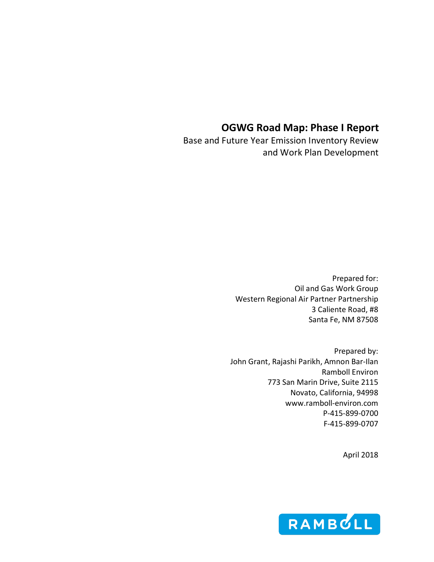# **OGWG Road Map: Phase I Report**

Base and Future Year Emission Inventory Review and Work Plan Development

> Prepared for: Oil and Gas Work Group Western Regional Air Partner Partnership 3 Caliente Road, #8 Santa Fe, NM 87508

Prepared by: John Grant, Rajashi Parikh, Amnon Bar-Ilan Ramboll Environ 773 San Marin Drive, Suite 2115 Novato, California, 94998 www.ramboll-environ.com P-415-899-0700 F-415-899-0707

April 2018

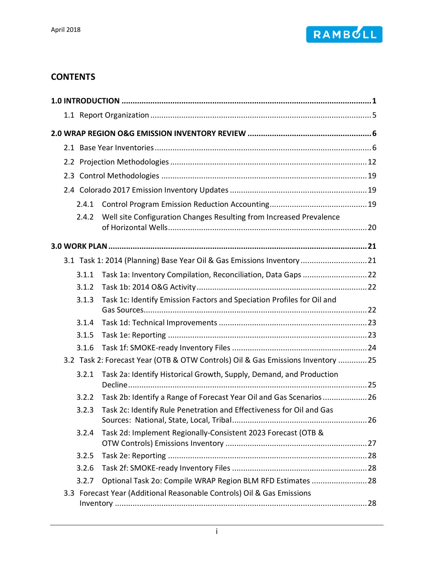

# **CONTENTS**

| 2.4.1 |                                                                                 |  |
|-------|---------------------------------------------------------------------------------|--|
| 2.4.2 | Well site Configuration Changes Resulting from Increased Prevalence             |  |
|       |                                                                                 |  |
|       | 3.1 Task 1: 2014 (Planning) Base Year Oil & Gas Emissions Inventory  21         |  |
| 3.1.1 |                                                                                 |  |
| 3.1.2 |                                                                                 |  |
| 3.1.3 | Task 1c: Identify Emission Factors and Speciation Profiles for Oil and          |  |
| 3.1.4 |                                                                                 |  |
| 3.1.5 |                                                                                 |  |
| 3.1.6 |                                                                                 |  |
|       | 3.2 Task 2: Forecast Year (OTB & OTW Controls) Oil & Gas Emissions Inventory 25 |  |
| 3.2.1 | Task 2a: Identify Historical Growth, Supply, Demand, and Production             |  |
| 3.2.2 | Task 2b: Identify a Range of Forecast Year Oil and Gas Scenarios  26            |  |
| 3.2.3 | Task 2c: Identify Rule Penetration and Effectiveness for Oil and Gas            |  |
| 3.2.4 | Task 2d: Implement Regionally-Consistent 2023 Forecast (OTB &                   |  |
| 3.2.5 |                                                                                 |  |
| 3.2.6 |                                                                                 |  |
| 3.2.7 | Optional Task 2o: Compile WRAP Region BLM RFD Estimates  28                     |  |
|       | 3.3 Forecast Year (Additional Reasonable Controls) Oil & Gas Emissions          |  |
|       |                                                                                 |  |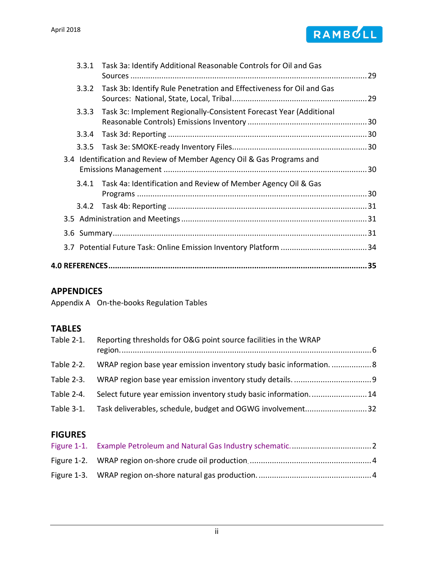

|       | 3.3.1 Task 3a: Identify Additional Reasonable Controls for Oil and Gas |    |
|-------|------------------------------------------------------------------------|----|
| 3.3.2 | Task 3b: Identify Rule Penetration and Effectiveness for Oil and Gas   |    |
| 3.3.3 | Task 3c: Implement Regionally-Consistent Forecast Year (Additional     |    |
| 3.3.4 |                                                                        |    |
| 3.3.5 |                                                                        |    |
|       | 3.4 Identification and Review of Member Agency Oil & Gas Programs and  |    |
|       | 3.4.1 Task 4a: Identification and Review of Member Agency Oil & Gas    |    |
|       |                                                                        |    |
|       |                                                                        |    |
|       |                                                                        |    |
|       |                                                                        |    |
|       |                                                                        |    |
|       |                                                                        | 35 |

### **APPENDICES**

Appendix A [On-the-books Regulation Tables](#page-41-0)

# **TABLES**

| Table 2-1. | Reporting thresholds for O&G point source facilities in the WRAP      |  |
|------------|-----------------------------------------------------------------------|--|
| Table 2-2. | WRAP region base year emission inventory study basic information.  8  |  |
|            | Table 2-3. WRAP region base year emission inventory study details 9   |  |
| Table 2-4. | Select future year emission inventory study basic information14       |  |
|            | Table 3-1. Task deliverables, schedule, budget and OGWG involvement32 |  |

# **FIGURES**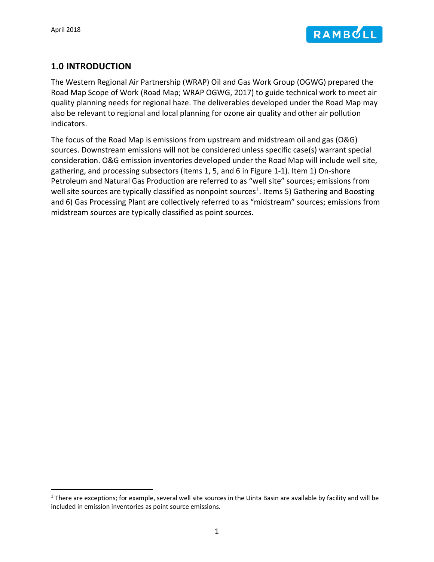

### <span id="page-3-0"></span>**1.0 INTRODUCTION**

The Western Regional Air Partnership (WRAP) Oil and Gas Work Group (OGWG) prepared the Road Map Scope of Work (Road Map; WRAP OGWG, 2017) to guide technical work to meet air quality planning needs for regional haze. The deliverables developed under the Road Map may also be relevant to regional and local planning for ozone air quality and other air pollution indicators.

The focus of the Road Map is emissions from upstream and midstream oil and gas (O&G) sources. Downstream emissions will not be considered unless specific case(s) warrant special consideration. O&G emission inventories developed under the Road Map will include well site, gathering, and processing subsectors (items 1, 5, and 6 in [Figure 1-1\)](#page-4-0). Item 1) On-shore Petroleum and Natural Gas Production are referred to as "well site" sources; emissions from well site sources are typically classified as nonpoint sources<sup>[1](#page-3-1)</sup>. Items 5) Gathering and Boosting and 6) Gas Processing Plant are collectively referred to as "midstream" sources; emissions from midstream sources are typically classified as point sources.

<span id="page-3-1"></span> $1$  There are exceptions; for example, several well site sources in the Uinta Basin are available by facility and will be included in emission inventories as point source emissions.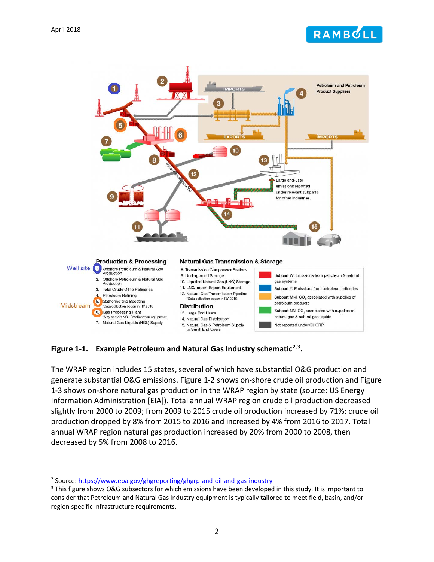



<span id="page-4-0"></span>**Figure 1-1. Example Petroleum and Natural Gas Industry schematic[2](#page-4-1),[3.](#page-4-2)**

The WRAP region includes 15 states, several of which have substantial O&G production and generate substantial O&G emissions. [Figure 1-2](#page-6-0) shows on-shore crude oil production and [Figure](#page-6-1)  [1-3](#page-6-1) shows on-shore natural gas production in the WRAP region by state (source: US Energy Information Administration [EIA]). Total annual WRAP region crude oil production decreased slightly from 2000 to 2009; from 2009 to 2015 crude oil production increased by 71%; crude oil production dropped by 8% from 2015 to 2016 and increased by 4% from 2016 to 2017. Total annual WRAP region natural gas production increased by 20% from 2000 to 2008, then decreased by 5% from 2008 to 2016.

<span id="page-4-2"></span><span id="page-4-1"></span><sup>&</sup>lt;sup>2</sup> Source: https://www.epa.gov/ghgreporting/ghgrp-and-oil-and-gas-industry<br><sup>3</sup> This figure shows O&G subsectors for which emissions have been developed in this study. It is important to consider that Petroleum and Natural Gas Industry equipment is typically tailored to meet field, basin, and/or region specific infrastructure requirements.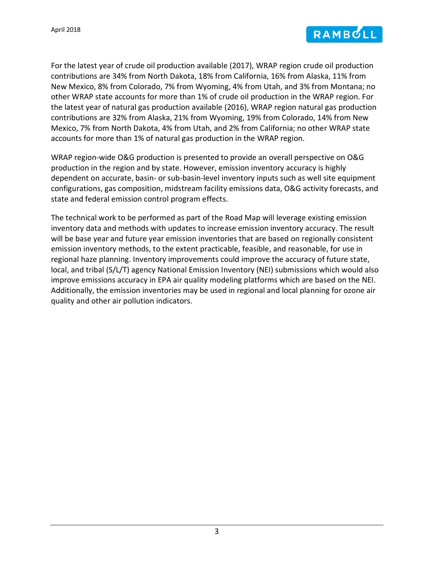

For the latest year of crude oil production available (2017), WRAP region crude oil production contributions are 34% from North Dakota, 18% from California, 16% from Alaska, 11% from New Mexico, 8% from Colorado, 7% from Wyoming, 4% from Utah, and 3% from Montana; no other WRAP state accounts for more than 1% of crude oil production in the WRAP region. For the latest year of natural gas production available (2016), WRAP region natural gas production contributions are 32% from Alaska, 21% from Wyoming, 19% from Colorado, 14% from New Mexico, 7% from North Dakota, 4% from Utah, and 2% from California; no other WRAP state accounts for more than 1% of natural gas production in the WRAP region.

WRAP region-wide O&G production is presented to provide an overall perspective on O&G production in the region and by state. However, emission inventory accuracy is highly dependent on accurate, basin- or sub-basin-level inventory inputs such as well site equipment configurations, gas composition, midstream facility emissions data, O&G activity forecasts, and state and federal emission control program effects.

The technical work to be performed as part of the Road Map will leverage existing emission inventory data and methods with updates to increase emission inventory accuracy. The result will be base year and future year emission inventories that are based on regionally consistent emission inventory methods, to the extent practicable, feasible, and reasonable, for use in regional haze planning. Inventory improvements could improve the accuracy of future state, local, and tribal (S/L/T) agency National Emission Inventory (NEI) submissions which would also improve emissions accuracy in EPA air quality modeling platforms which are based on the NEI. Additionally, the emission inventories may be used in regional and local planning for ozone air quality and other air pollution indicators.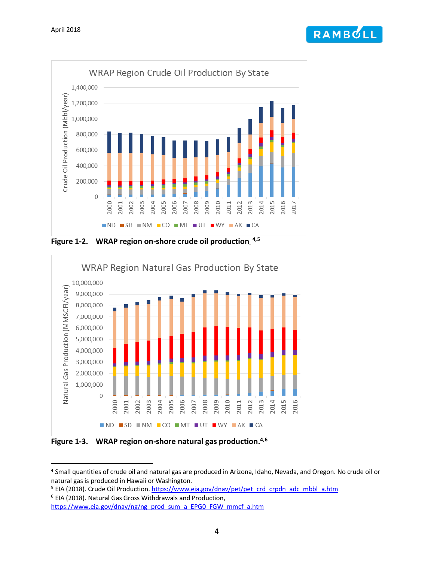



<span id="page-6-2"></span><span id="page-6-0"></span>**Figure 1-2. WRAP region on-shore crude oil production. [4](#page-6-3),[5](#page-6-4)**



<span id="page-6-1"></span>**Figure 1-3. WRAP region on-shore natural gas production. [4,](#page-6-2)[6](#page-6-5)**

<span id="page-6-5"></span><sup>6</sup> EIA (2018). Natural Gas Gross Withdrawals and Production,

<span id="page-6-3"></span> <sup>4</sup> Small quantities of crude oil and natural gas are produced in Arizona, Idaho, Nevada, and Oregon. No crude oil or natural gas is produced in Hawaii or Washington.

<span id="page-6-4"></span><sup>&</sup>lt;sup>5</sup> EIA (2018). Crude Oil Production. [https://www.eia.gov/dnav/pet/pet\\_crd\\_crpdn\\_adc\\_mbbl\\_a.htm](https://www.eia.gov/dnav/pet/pet_crd_crpdn_adc_mbbl_a.htm)

[https://www.eia.gov/dnav/ng/ng\\_prod\\_sum\\_a\\_EPG0\\_FGW\\_mmcf\\_a.htm](https://www.eia.gov/dnav/ng/ng_prod_sum_a_EPG0_FGW_mmcf_a.htm)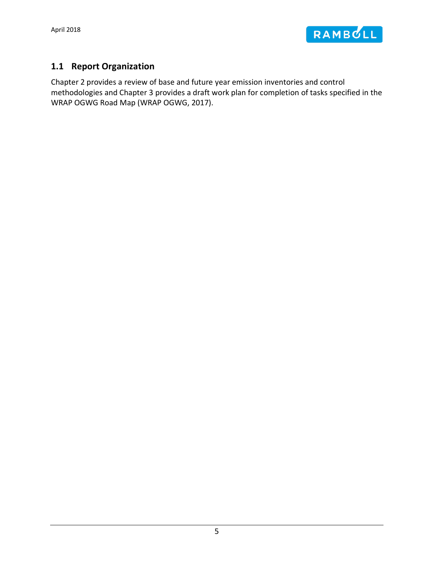

# <span id="page-7-0"></span>**1.1 Report Organization**

Chapter 2 provides a review of base and future year emission inventories and control methodologies and Chapter 3 provides a draft work plan for completion of tasks specified in the WRAP OGWG Road Map (WRAP OGWG, 2017).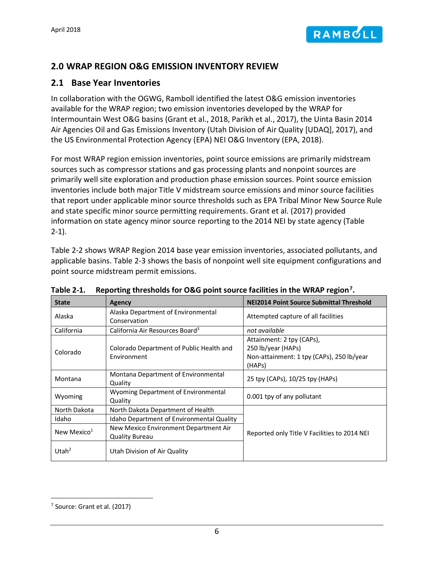# <span id="page-8-0"></span>**2.0 WRAP REGION O&G EMISSION INVENTORY REVIEW**

### <span id="page-8-1"></span>**2.1 Base Year Inventories**

In collaboration with the OGWG, Ramboll identified the latest O&G emission inventories available for the WRAP region; two emission inventories developed by the WRAP for Intermountain West O&G basins (Grant et al., 2018, Parikh et al., 2017), the Uinta Basin 2014 Air Agencies Oil and Gas Emissions Inventory (Utah Division of Air Quality [UDAQ], 2017), and the US Environmental Protection Agency (EPA) NEI O&G Inventory (EPA, 2018).

For most WRAP region emission inventories, point source emissions are primarily midstream sources such as compressor stations and gas processing plants and nonpoint sources are primarily well site exploration and production phase emission sources. Point source emission inventories include both major Title V midstream source emissions and minor source facilities that report under applicable minor source thresholds such as EPA Tribal Minor New Source Rule and state specific minor source permitting requirements. Grant et al. (2017) provided information on state agency minor source reporting to the 2014 NEI by state agency [\(Table](#page-8-2)  [2-1\)](#page-8-2).

[Table 2-2](#page-10-0) shows WRAP Region 2014 base year emission inventories, associated pollutants, and applicable basins. [Table 2-3](#page-11-0) shows the basis of nonpoint well site equipment configurations and point source midstream permit emissions.

| <b>State</b>      | Agency                                                         | <b>NEI2014 Point Source Submittal Threshold</b>                                                        |
|-------------------|----------------------------------------------------------------|--------------------------------------------------------------------------------------------------------|
| Alaska            | Alaska Department of Environmental<br>Conservation             | Attempted capture of all facilities                                                                    |
| California        | California Air Resources Board <sup>3</sup>                    | not available                                                                                          |
| Colorado          | Colorado Department of Public Health and<br>Environment        | Attainment: 2 tpy (CAPs),<br>250 lb/year (HAPs)<br>Non-attainment: 1 tpy (CAPs), 250 lb/year<br>(HAPs) |
| Montana           | Montana Department of Environmental<br>Quality                 | 25 tpy (CAPs), 10/25 tpy (HAPs)                                                                        |
| Wyoming           | <b>Wyoming Department of Environmental</b><br>Quality          | 0.001 tpy of any pollutant                                                                             |
| North Dakota      | North Dakota Department of Health                              |                                                                                                        |
| Idaho             | Idaho Department of Environmental Quality                      |                                                                                                        |
| New Mexico $1$    | New Mexico Environment Department Air<br><b>Quality Bureau</b> | Reported only Title V Facilities to 2014 NEI                                                           |
| Utah <sup>2</sup> | Utah Division of Air Quality                                   |                                                                                                        |

<span id="page-8-2"></span>

| Table 2-1. Reporting thresholds for O&G point source facilities in the WRAP region <sup>7</sup> . |  |  |
|---------------------------------------------------------------------------------------------------|--|--|
|                                                                                                   |  |  |

<span id="page-8-3"></span> <sup>7</sup> Source: Grant et al. (2017)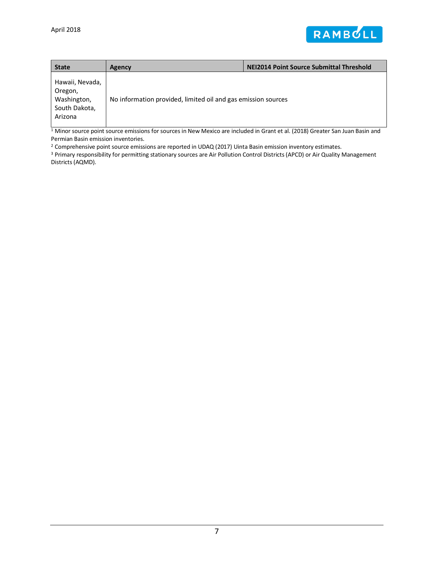

| <b>State</b>                                                          | Agency                                                        | <b>NEI2014 Point Source Submittal Threshold</b> |
|-----------------------------------------------------------------------|---------------------------------------------------------------|-------------------------------------------------|
| Hawaii, Nevada,<br>Oregon,<br>Washington,<br>South Dakota,<br>Arizona | No information provided, limited oil and gas emission sources |                                                 |

<sup>1</sup> Minor source point source emissions for sources in New Mexico are included in Grant et al. (2018) Greater San Juan Basin and Permian Basin emission inventories.

<sup>2</sup> Comprehensive point source emissions are reported in UDAQ (2017) Uinta Basin emission inventory estimates.

<sup>3</sup> Primary responsibility for permitting stationary sources are Air Pollution Control Districts (APCD) or Air Quality Management Districts (AQMD).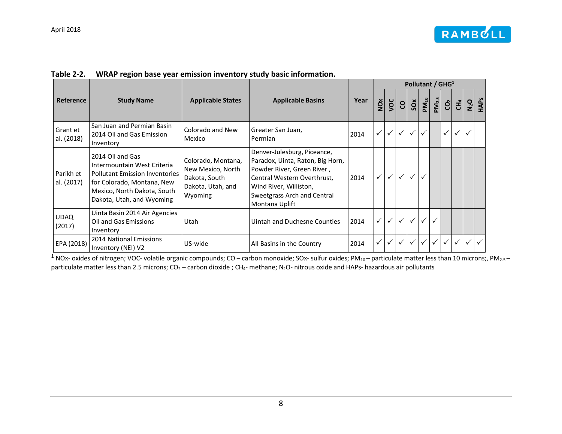|  | Table 2-2. WRAP region base year emission inventory study basic information. |
|--|------------------------------------------------------------------------------|
|--|------------------------------------------------------------------------------|

|                         |                                                                                                                                                                                    |                                                                                          |                                                                                                                                                                                                         |      |   | Pollutant / GHG <sup>1</sup> |              |                       |                    |            |                |    |         |      |
|-------------------------|------------------------------------------------------------------------------------------------------------------------------------------------------------------------------------|------------------------------------------------------------------------------------------|---------------------------------------------------------------------------------------------------------------------------------------------------------------------------------------------------------|------|---|------------------------------|--------------|-----------------------|--------------------|------------|----------------|----|---------|------|
| <b>Reference</b>        | <b>Study Name</b>                                                                                                                                                                  | <b>Applicable States</b>                                                                 | <b>Applicable Basins</b>                                                                                                                                                                                | Year | Ň | $\frac{1}{2}$                | S            | $\overline{\text{S}}$ | $P\mathbf{M}_{10}$ | $PM_{2.5}$ | $\overline{S}$ | Ξ, | $N_2$ O | HAPS |
| Grant et<br>al. (2018)  | San Juan and Permian Basin<br>2014 Oil and Gas Emission<br>Inventory                                                                                                               | Colorado and New<br>Mexico                                                               | Greater San Juan,<br>Permian                                                                                                                                                                            | 2014 |   | $\checkmark$                 | $\checkmark$ | $\checkmark$          |                    |            | $\checkmark$   |    |         |      |
| Parikh et<br>al. (2017) | 2014 Oil and Gas<br>Intermountain West Criteria<br><b>Pollutant Emission Inventories</b><br>for Colorado, Montana, New<br>Mexico, North Dakota, South<br>Dakota, Utah, and Wyoming | Colorado, Montana,<br>New Mexico, North<br>Dakota, South<br>Dakota, Utah, and<br>Wyoming | Denver-Julesburg, Piceance,<br>Paradox, Uinta, Raton, Big Horn,<br>Powder River, Green River,<br>Central Western Overthrust,<br>Wind River, Williston,<br>Sweetgrass Arch and Central<br>Montana Uplift | 2014 |   | $\checkmark$                 | ✓            | $\checkmark$          |                    |            |                |    |         |      |
| <b>UDAQ</b><br>(2017)   | Uinta Basin 2014 Air Agencies<br>Oil and Gas Emissions<br>Inventory                                                                                                                | Utah                                                                                     | Uintah and Duchesne Counties                                                                                                                                                                            | 2014 |   | $\checkmark$                 | $\checkmark$ | $\checkmark$          |                    |            |                |    |         |      |
| EPA (2018)              | <b>2014 National Emissions</b><br>Inventory (NEI) V2                                                                                                                               | US-wide                                                                                  | All Basins in the Country                                                                                                                                                                               | 2014 |   | ✓                            | $\checkmark$ | $\checkmark$          |                    |            |                |    |         |      |

<span id="page-10-0"></span> $1$  NOx- oxides of nitrogen; VOC- volatile organic compounds; CO – carbon monoxide; SOx- sulfur oxides; PM<sub>10</sub> – particulate matter less than 10 microns;, PM<sub>2.5</sub> – particulate matter less than 2.5 microns;  $CO_2$  – carbon dioxide; CH<sub>4</sub>- methane; N<sub>2</sub>O- nitrous oxide and HAPs- hazardous air pollutants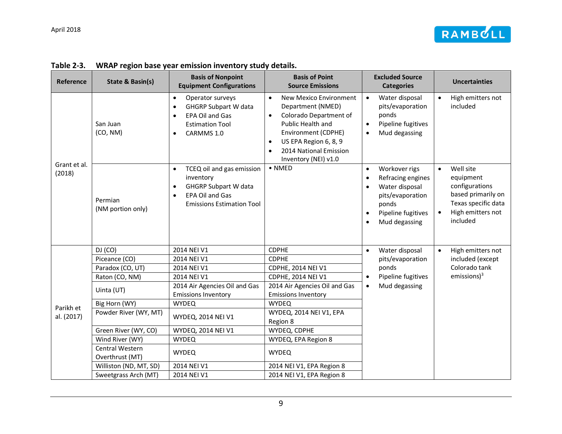

<span id="page-11-0"></span>

| Reference    | State & Basin(s)                   | <b>Basis of Nonpoint</b><br><b>Equipment Configurations</b>                                                                               | <b>Basis of Point</b><br><b>Source Emissions</b>                                                                                                                                                                                                 | <b>Excluded Source</b><br><b>Categories</b>                                                                                                                                               | <b>Uncertainties</b>                                                                                                                |
|--------------|------------------------------------|-------------------------------------------------------------------------------------------------------------------------------------------|--------------------------------------------------------------------------------------------------------------------------------------------------------------------------------------------------------------------------------------------------|-------------------------------------------------------------------------------------------------------------------------------------------------------------------------------------------|-------------------------------------------------------------------------------------------------------------------------------------|
| Grant et al. | San Juan<br>(CO, NM)               | Operator surveys<br>$\bullet$<br><b>GHGRP Subpart W data</b><br>$\bullet$<br>EPA Oil and Gas<br><b>Estimation Tool</b><br>CARMMS 1.0      | New Mexico Environment<br>$\bullet$<br>Department (NMED)<br>Colorado Department of<br>$\bullet$<br>Public Health and<br>Environment (CDPHE)<br>US EPA Region 6, 8, 9<br>$\bullet$<br>2014 National Emission<br>$\bullet$<br>Inventory (NEI) v1.0 | Water disposal<br>$\bullet$<br>pits/evaporation<br>ponds<br>Pipeline fugitives<br>$\bullet$<br>Mud degassing<br>$\bullet$                                                                 | High emitters not<br>$\bullet$<br>included                                                                                          |
| (2018)       | Permian<br>(NM portion only)       | TCEQ oil and gas emission<br>$\bullet$<br>inventory<br><b>GHGRP Subpart W data</b><br>EPA Oil and Gas<br><b>Emissions Estimation Tool</b> | $\bullet$ NMED                                                                                                                                                                                                                                   | Workover rigs<br>$\bullet$<br>Refracing engines<br>$\bullet$<br>Water disposal<br>$\bullet$<br>pits/evaporation<br>ponds<br>Pipeline fugitives<br>$\bullet$<br>Mud degassing<br>$\bullet$ | Well site<br>$\bullet$<br>equipment<br>configurations<br>based primarily on<br>Texas specific data<br>High emitters not<br>included |
|              | DJ (CO)                            | 2014 NEI V1                                                                                                                               | <b>CDPHE</b>                                                                                                                                                                                                                                     | Water disposal<br>$\bullet$                                                                                                                                                               | High emitters not<br>$\bullet$                                                                                                      |
|              | Piceance (CO)                      | 2014 NEI V1                                                                                                                               | <b>CDPHE</b>                                                                                                                                                                                                                                     | pits/evaporation                                                                                                                                                                          | included (except                                                                                                                    |
|              | Paradox (CO, UT)                   | 2014 NEI V1                                                                                                                               | <b>CDPHE, 2014 NEI V1</b>                                                                                                                                                                                                                        | ponds                                                                                                                                                                                     | Colorado tank                                                                                                                       |
|              | Raton (CO, NM)                     | 2014 NEI V1                                                                                                                               | <b>CDPHE, 2014 NEI V1</b>                                                                                                                                                                                                                        | Pipeline fugitives<br>$\bullet$                                                                                                                                                           | $emissions$ <sup>3</sup>                                                                                                            |
|              | Uinta (UT)                         | 2014 Air Agencies Oil and Gas<br><b>Emissions Inventory</b>                                                                               | 2014 Air Agencies Oil and Gas<br><b>Emissions Inventory</b>                                                                                                                                                                                      | Mud degassing<br>$\bullet$                                                                                                                                                                |                                                                                                                                     |
| Parikh et    | Big Horn (WY)                      | <b>WYDEQ</b>                                                                                                                              | <b>WYDEQ</b>                                                                                                                                                                                                                                     |                                                                                                                                                                                           |                                                                                                                                     |
| al. (2017)   | Powder River (WY, MT)              | WYDEQ, 2014 NEI V1                                                                                                                        | WYDEQ, 2014 NEI V1, EPA<br>Region 8                                                                                                                                                                                                              |                                                                                                                                                                                           |                                                                                                                                     |
|              | Green River (WY, CO)               | WYDEQ, 2014 NEI V1                                                                                                                        | WYDEQ, CDPHE                                                                                                                                                                                                                                     |                                                                                                                                                                                           |                                                                                                                                     |
|              | Wind River (WY)                    | <b>WYDEQ</b>                                                                                                                              | WYDEQ, EPA Region 8                                                                                                                                                                                                                              |                                                                                                                                                                                           |                                                                                                                                     |
|              | Central Western<br>Overthrust (MT) | <b>WYDEQ</b>                                                                                                                              | <b>WYDEQ</b>                                                                                                                                                                                                                                     |                                                                                                                                                                                           |                                                                                                                                     |
|              | Williston (ND, MT, SD)             | 2014 NEI V1                                                                                                                               | 2014 NEI V1, EPA Region 8                                                                                                                                                                                                                        |                                                                                                                                                                                           |                                                                                                                                     |
|              | Sweetgrass Arch (MT)               | 2014 NEI V1                                                                                                                               | 2014 NEI V1, EPA Region 8                                                                                                                                                                                                                        |                                                                                                                                                                                           |                                                                                                                                     |

#### **Table 2-3. WRAP region base year emission inventory study details.**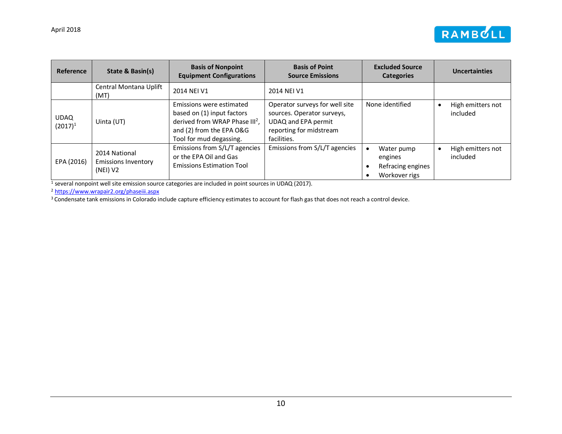

| Reference                 | <b>Basis of Point</b><br><b>Basis of Nonpoint</b><br>State & Basin(s)<br><b>Equipment Configurations</b><br><b>Source Emissions</b> |                                                                                                                                                             | <b>Excluded Source</b><br><b>Categories</b>                                                                                   |                                                                          |                               |  |  |
|---------------------------|-------------------------------------------------------------------------------------------------------------------------------------|-------------------------------------------------------------------------------------------------------------------------------------------------------------|-------------------------------------------------------------------------------------------------------------------------------|--------------------------------------------------------------------------|-------------------------------|--|--|
|                           | Central Montana Uplift<br>(MT)                                                                                                      | 2014 NEI V1                                                                                                                                                 | 2014 NEI V1                                                                                                                   |                                                                          |                               |  |  |
| <b>UDAQ</b><br>$(2017)^1$ | Uinta (UT)                                                                                                                          | Emissions were estimated<br>based on (1) input factors<br>derived from WRAP Phase III <sup>2</sup> ,<br>and (2) from the EPA O&G<br>Tool for mud degassing. | Operator surveys for well site<br>sources. Operator surveys,<br>UDAQ and EPA permit<br>reporting for midstream<br>facilities. | None identified                                                          | High emitters not<br>included |  |  |
| EPA (2016)                | 2014 National<br><b>Emissions Inventory</b><br>(NEI) V2                                                                             | Emissions from S/L/T agencies<br>or the EPA Oil and Gas<br><b>Emissions Estimation Tool</b>                                                                 | Emissions from S/L/T agencies                                                                                                 | Water pump<br>$\bullet$<br>engines<br>Refracing engines<br>Workover rigs | High emitters not<br>included |  |  |

<sup>1</sup> several nonpoint well site emission source categories are included in point sources in UDAQ (2017).

<sup>2</sup> <https://www.wrapair2.org/phaseiii.aspx>

<sup>3</sup> Condensate tank emissions in Colorado include capture efficiency estimates to account for flash gas that does not reach a control device.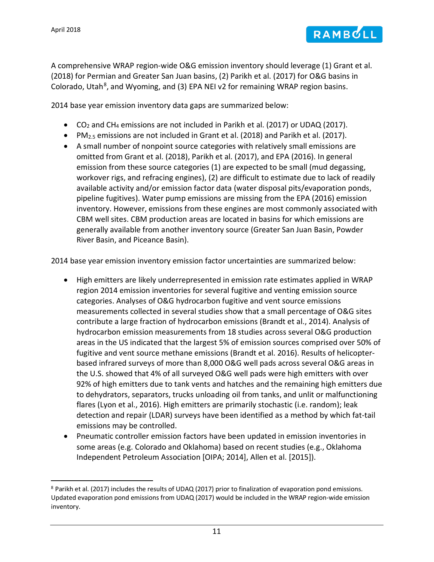

A comprehensive WRAP region-wide O&G emission inventory should leverage (1) Grant et al. (2018) for Permian and Greater San Juan basins, (2) Parikh et al. (2017) for O&G basins in Colorado, Utah<sup>[8](#page-13-0)</sup>, and Wyoming, and (3) EPA NEI v2 for remaining WRAP region basins.

2014 base year emission inventory data gaps are summarized below:

- CO<sub>2</sub> and CH<sub>4</sub> emissions are not included in Parikh et al. (2017) or UDAQ (2017).
- PM<sub>2.5</sub> emissions are not included in Grant et al. (2018) and Parikh et al. (2017).
- A small number of nonpoint source categories with relatively small emissions are omitted from Grant et al. (2018), Parikh et al. (2017), and EPA (2016). In general emission from these source categories (1) are expected to be small (mud degassing, workover rigs, and refracing engines), (2) are difficult to estimate due to lack of readily available activity and/or emission factor data (water disposal pits/evaporation ponds, pipeline fugitives). Water pump emissions are missing from the EPA (2016) emission inventory. However, emissions from these engines are most commonly associated with CBM well sites. CBM production areas are located in basins for which emissions are generally available from another inventory source (Greater San Juan Basin, Powder River Basin, and Piceance Basin).

2014 base year emission inventory emission factor uncertainties are summarized below:

- High emitters are likely underrepresented in emission rate estimates applied in WRAP region 2014 emission inventories for several fugitive and venting emission source categories. Analyses of O&G hydrocarbon fugitive and vent source emissions measurements collected in several studies show that a small percentage of O&G sites contribute a large fraction of hydrocarbon emissions (Brandt et al., 2014). Analysis of hydrocarbon emission measurements from 18 studies across several O&G production areas in the US indicated that the largest 5% of emission sources comprised over 50% of fugitive and vent source methane emissions (Brandt et al. 2016). Results of helicopterbased infrared surveys of more than 8,000 O&G well pads across several O&G areas in the U.S. showed that 4% of all surveyed O&G well pads were high emitters with over 92% of high emitters due to tank vents and hatches and the remaining high emitters due to dehydrators, separators, trucks unloading oil from tanks, and unlit or malfunctioning flares (Lyon et al., 2016). High emitters are primarily stochastic (i.e. random); leak detection and repair (LDAR) surveys have been identified as a method by which fat-tail emissions may be controlled.
- Pneumatic controller emission factors have been updated in emission inventories in some areas (e.g. Colorado and Oklahoma) based on recent studies (e.g., Oklahoma Independent Petroleum Association [OIPA; 2014], Allen et al. [2015]).

<span id="page-13-0"></span> <sup>8</sup> Parikh et al. (2017) includes the results of UDAQ (2017) prior to finalization of evaporation pond emissions. Updated evaporation pond emissions from UDAQ (2017) would be included in the WRAP region-wide emission inventory.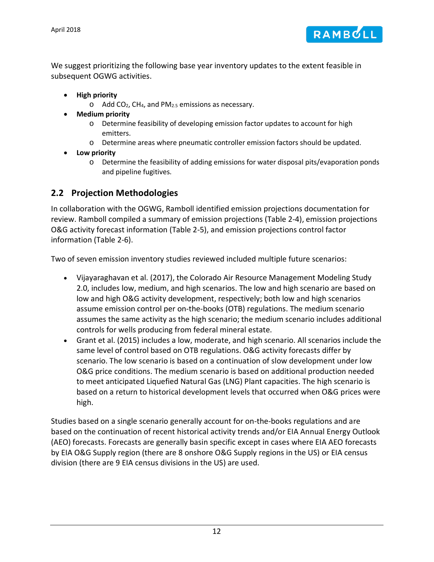

We suggest prioritizing the following base year inventory updates to the extent feasible in subsequent OGWG activities.

- **High priority**
	- $\circ$  Add CO<sub>2</sub>, CH<sub>4</sub>, and PM<sub>2.5</sub> emissions as necessary.
- **Medium priority**
	- o Determine feasibility of developing emission factor updates to account for high emitters.
	- o Determine areas where pneumatic controller emission factors should be updated.
- **Low priority**
	- o Determine the feasibility of adding emissions for water disposal pits/evaporation ponds and pipeline fugitives.

# <span id="page-14-0"></span>**2.2 Projection Methodologies**

In collaboration with the OGWG, Ramboll identified emission projections documentation for review. Ramboll compiled a summary of emission projections [\(Table 2-4\)](#page-16-0), emission projections O&G activity forecast information [\(Table 2-5\)](#page-17-0), and emission projections control factor information [\(Table 2-6\)](#page-19-0).

Two of seven emission inventory studies reviewed included multiple future scenarios:

- Vijayaraghavan et al. (2017), the Colorado Air Resource Management Modeling Study 2.0, includes low, medium, and high scenarios. The low and high scenario are based on low and high O&G activity development, respectively; both low and high scenarios assume emission control per on-the-books (OTB) regulations. The medium scenario assumes the same activity as the high scenario; the medium scenario includes additional controls for wells producing from federal mineral estate.
- Grant et al. (2015) includes a low, moderate, and high scenario. All scenarios include the same level of control based on OTB regulations. O&G activity forecasts differ by scenario. The low scenario is based on a continuation of slow development under low O&G price conditions. The medium scenario is based on additional production needed to meet anticipated Liquefied Natural Gas (LNG) Plant capacities. The high scenario is based on a return to historical development levels that occurred when O&G prices were high.

Studies based on a single scenario generally account for on-the-books regulations and are based on the continuation of recent historical activity trends and/or EIA Annual Energy Outlook (AEO) forecasts. Forecasts are generally basin specific except in cases where EIA AEO forecasts by EIA O&G Supply region (there are 8 onshore O&G Supply regions in the US) or EIA census division (there are 9 EIA census divisions in the US) are used.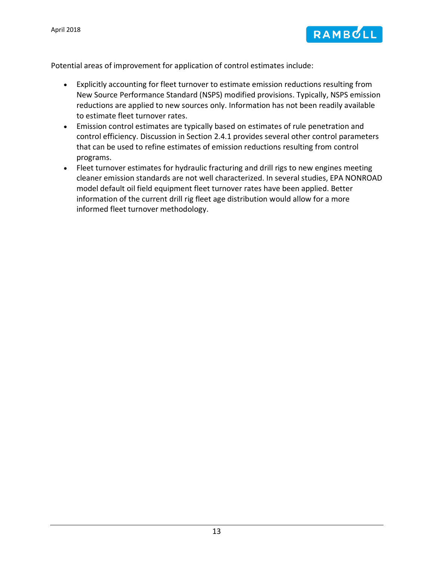

Potential areas of improvement for application of control estimates include:

- Explicitly accounting for fleet turnover to estimate emission reductions resulting from New Source Performance Standard (NSPS) modified provisions. Typically, NSPS emission reductions are applied to new sources only. Information has not been readily available to estimate fleet turnover rates.
- Emission control estimates are typically based on estimates of rule penetration and control efficiency. Discussion in Section [2.4.1](#page-21-2) provides several other control parameters that can be used to refine estimates of emission reductions resulting from control programs.
- Fleet turnover estimates for hydraulic fracturing and drill rigs to new engines meeting cleaner emission standards are not well characterized. In several studies, EPA NONROAD model default oil field equipment fleet turnover rates have been applied. Better information of the current drill rig fleet age distribution would allow for a more informed fleet turnover methodology.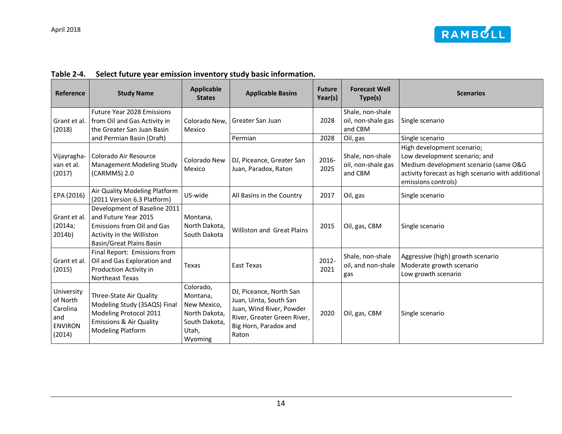

| Table 2-4. |  |  | Select future year emission inventory study basic information. |
|------------|--|--|----------------------------------------------------------------|
|------------|--|--|----------------------------------------------------------------|

<span id="page-16-0"></span>

| Reference                                                             | <b>Study Name</b>                                                                                                                                   | <b>Applicable</b><br><b>States</b>                                                         | <b>Applicable Basins</b>                                                                                                                       | <b>Future</b><br>Year(s) | <b>Forecast Well</b><br>Type(s)                   | <b>Scenarios</b>                                                                                                                                                                  |
|-----------------------------------------------------------------------|-----------------------------------------------------------------------------------------------------------------------------------------------------|--------------------------------------------------------------------------------------------|------------------------------------------------------------------------------------------------------------------------------------------------|--------------------------|---------------------------------------------------|-----------------------------------------------------------------------------------------------------------------------------------------------------------------------------------|
| Grant et al.<br>(2018)                                                | <b>Future Year 2028 Emissions</b><br>from Oil and Gas Activity in<br>the Greater San Juan Basin                                                     | Colorado New.<br>Mexico                                                                    | Greater San Juan                                                                                                                               | 2028                     | Shale, non-shale<br>oil, non-shale gas<br>and CBM | Single scenario                                                                                                                                                                   |
|                                                                       | and Permian Basin (Draft)                                                                                                                           |                                                                                            | Permian                                                                                                                                        | 2028                     | Oil, gas                                          | Single scenario                                                                                                                                                                   |
| Vijayragha-<br>van et al.<br>(2017)                                   | Colorado Air Resource<br>Management Modeling Study<br>(CARMMS) 2.0                                                                                  | Colorado New<br>Mexico                                                                     | DJ, Piceance, Greater San<br>Juan, Paradox, Raton                                                                                              | 2016-<br>2025            | Shale, non-shale<br>oil, non-shale gas<br>and CBM | High development scenario;<br>Low development scenario; and<br>Medium development scenario (same O&G<br>activity forecast as high scenario with additional<br>emissions controls) |
| EPA (2016)                                                            | Air Quality Modeling Platform<br>(2011 Version 6.3 Platform)                                                                                        | US-wide                                                                                    | All Basins in the Country                                                                                                                      | 2017                     | Oil, gas                                          | Single scenario                                                                                                                                                                   |
| Grant et al.<br>(2014a;<br>2014b)                                     | Development of Baseline 2011<br>and Future Year 2015<br><b>Emissions from Oil and Gas</b><br>Activity in the Williston<br>Basin/Great Plains Basin  | Montana,<br>North Dakota,<br>South Dakota                                                  | <b>Williston and Great Plains</b>                                                                                                              | 2015                     | Oil, gas, CBM                                     | Single scenario                                                                                                                                                                   |
| Grant et al.<br>(2015)                                                | Final Report: Emissions from<br>Oil and Gas Exploration and<br>Production Activity in<br><b>Northeast Texas</b>                                     | Texas                                                                                      | East Texas                                                                                                                                     | 2012-<br>2021            | Shale, non-shale<br>oil, and non-shale<br>gas     | Aggressive (high) growth scenario<br>Moderate growth scenario<br>Low growth scenario                                                                                              |
| University<br>of North<br>Carolina<br>and<br><b>ENVIRON</b><br>(2014) | Three-State Air Quality<br>Modeling Study (3SAQS) Final<br>Modeling Protocol 2011<br><b>Emissions &amp; Air Quality</b><br><b>Modeling Platform</b> | Colorado,<br>Montana,<br>New Mexico,<br>North Dakota,<br>South Dakota,<br>Utah,<br>Wyoming | DJ, Piceance, North San<br>Juan, Uinta, South San<br>Juan, Wind River, Powder<br>River, Greater Green River,<br>Big Horn, Paradox and<br>Raton | 2020                     | Oil, gas, CBM                                     | Single scenario                                                                                                                                                                   |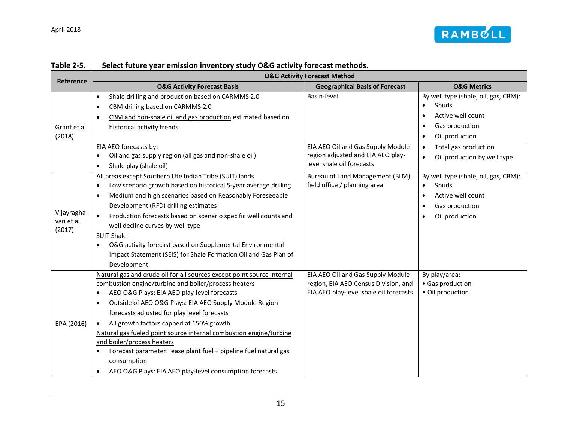

<span id="page-17-0"></span>

| Reference                           |                                                                                                                                                                                                                                                                                                                                                                                                                                                                                                                                                                                                                                                       | <b>O&amp;G Activity Forecast Method</b><br><b>Geographical Basis of Forecast</b><br>Basin-level<br>$\bullet$<br>$\bullet$<br>$\bullet$<br>$\bullet$<br>EIA AEO Oil and Gas Supply Module<br>$\bullet$<br>region adjusted and EIA AEO play-<br>$\bullet$<br>level shale oil forecasts<br>Bureau of Land Management (BLM)<br>field office / planning area<br>$\bullet$<br>$\bullet$<br>$\bullet$<br>$\bullet$<br>EIA AEO Oil and Gas Supply Module<br>region, EIA AEO Census Division, and<br>EIA AEO play-level shale oil forecasts |                                                                                                        |
|-------------------------------------|-------------------------------------------------------------------------------------------------------------------------------------------------------------------------------------------------------------------------------------------------------------------------------------------------------------------------------------------------------------------------------------------------------------------------------------------------------------------------------------------------------------------------------------------------------------------------------------------------------------------------------------------------------|------------------------------------------------------------------------------------------------------------------------------------------------------------------------------------------------------------------------------------------------------------------------------------------------------------------------------------------------------------------------------------------------------------------------------------------------------------------------------------------------------------------------------------|--------------------------------------------------------------------------------------------------------|
|                                     | <b>O&amp;G Activity Forecast Basis</b>                                                                                                                                                                                                                                                                                                                                                                                                                                                                                                                                                                                                                |                                                                                                                                                                                                                                                                                                                                                                                                                                                                                                                                    | <b>O&amp;G Metrics</b>                                                                                 |
| Grant et al.<br>(2018)              | Shale drilling and production based on CARMMS 2.0<br>$\bullet$<br>CBM drilling based on CARMMS 2.0<br>$\bullet$<br>CBM and non-shale oil and gas production estimated based on<br>$\bullet$<br>historical activity trends                                                                                                                                                                                                                                                                                                                                                                                                                             |                                                                                                                                                                                                                                                                                                                                                                                                                                                                                                                                    | By well type (shale, oil, gas, CBM):<br>Spuds<br>Active well count<br>Gas production<br>Oil production |
|                                     | EIA AEO forecasts by:<br>Oil and gas supply region (all gas and non-shale oil)<br>$\bullet$<br>Shale play (shale oil)<br>$\bullet$                                                                                                                                                                                                                                                                                                                                                                                                                                                                                                                    |                                                                                                                                                                                                                                                                                                                                                                                                                                                                                                                                    | Total gas production<br>Oil production by well type                                                    |
| Vijayragha-<br>van et al.<br>(2017) | All areas except Southern Ute Indian Tribe (SUIT) lands<br>Low scenario growth based on historical 5-year average drilling<br>$\bullet$<br>Medium and high scenarios based on Reasonably Foreseeable<br>$\bullet$<br>Development (RFD) drilling estimates<br>Production forecasts based on scenario specific well counts and<br>$\bullet$<br>well decline curves by well type<br><b>SUIT Shale</b><br>O&G activity forecast based on Supplemental Environmental<br>$\bullet$<br>Impact Statement (SEIS) for Shale Formation Oil and Gas Plan of<br>Development                                                                                        |                                                                                                                                                                                                                                                                                                                                                                                                                                                                                                                                    | By well type (shale, oil, gas, CBM):<br>Spuds<br>Active well count<br>Gas production<br>Oil production |
| EPA (2016)                          | Natural gas and crude oil for all sources except point source internal<br>combustion engine/turbine and boiler/process heaters<br>AEO O&G Plays: EIA AEO play-level forecasts<br>$\bullet$<br>Outside of AEO O&G Plays: EIA AEO Supply Module Region<br>$\bullet$<br>forecasts adjusted for play level forecasts<br>All growth factors capped at 150% growth<br>$\bullet$<br>Natural gas fueled point source internal combustion engine/turbine<br>and boiler/process heaters<br>Forecast parameter: lease plant fuel + pipeline fuel natural gas<br>$\bullet$<br>consumption<br>AEO O&G Plays: EIA AEO play-level consumption forecasts<br>$\bullet$ |                                                                                                                                                                                                                                                                                                                                                                                                                                                                                                                                    | By play/area:<br>• Gas production<br>· Oil production                                                  |

#### **Table 2-5. Select future year emission inventory study O&G activity forecast methods.**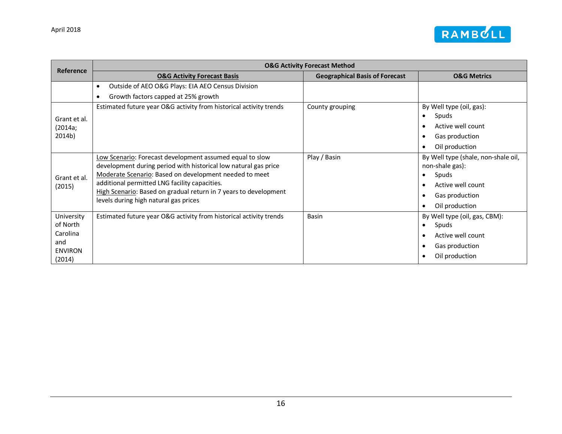

| Reference                                                             |                                                                                                                                                                                                                                                                                                                                                     | <b>O&amp;G Activity Forecast Method</b> |                                                                                                                                                                              |
|-----------------------------------------------------------------------|-----------------------------------------------------------------------------------------------------------------------------------------------------------------------------------------------------------------------------------------------------------------------------------------------------------------------------------------------------|-----------------------------------------|------------------------------------------------------------------------------------------------------------------------------------------------------------------------------|
|                                                                       | <b>O&amp;G Activity Forecast Basis</b>                                                                                                                                                                                                                                                                                                              | <b>Geographical Basis of Forecast</b>   | <b>O&amp;G Metrics</b>                                                                                                                                                       |
|                                                                       | Outside of AEO O&G Plays: EIA AEO Census Division<br>$\bullet$                                                                                                                                                                                                                                                                                      |                                         |                                                                                                                                                                              |
|                                                                       | Growth factors capped at 25% growth<br>$\bullet$                                                                                                                                                                                                                                                                                                    |                                         |                                                                                                                                                                              |
| Grant et al.<br>(2014a;<br>2014b)                                     | Estimated future year O&G activity from historical activity trends                                                                                                                                                                                                                                                                                  | County grouping                         | By Well type (oil, gas):<br>Spuds<br>$\bullet$<br>Active well count<br>$\bullet$<br>Gas production<br>$\bullet$<br>Oil production<br>$\bullet$                               |
| Grant et al.<br>(2015)                                                | Low Scenario: Forecast development assumed equal to slow<br>development during period with historical low natural gas price<br>Moderate Scenario: Based on development needed to meet<br>additional permitted LNG facility capacities.<br>High Scenario: Based on gradual return in 7 years to development<br>levels during high natural gas prices | Play / Basin                            | By Well type (shale, non-shale oil,<br>non-shale gas):<br>Spuds<br>$\bullet$<br>Active well count<br>$\bullet$<br>Gas production<br>$\bullet$<br>Oil production<br>$\bullet$ |
| University<br>of North<br>Carolina<br>and<br><b>ENVIRON</b><br>(2014) | Estimated future year O&G activity from historical activity trends                                                                                                                                                                                                                                                                                  | Basin                                   | By Well type (oil, gas, CBM):<br>Spuds<br>$\bullet$<br>Active well count<br>$\bullet$<br>Gas production<br>$\bullet$<br>Oil production<br>$\bullet$                          |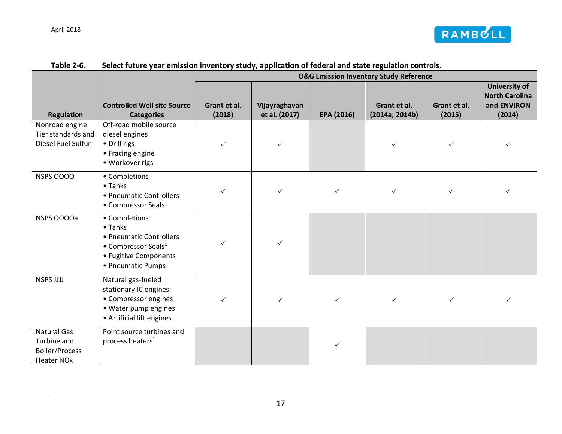

<span id="page-19-0"></span>

|                                                                                 |                                                                                                                                     |                        | <b>O&amp;G Emission Inventory Study Reference</b> |              |                                |                        |                                                                        |
|---------------------------------------------------------------------------------|-------------------------------------------------------------------------------------------------------------------------------------|------------------------|---------------------------------------------------|--------------|--------------------------------|------------------------|------------------------------------------------------------------------|
| <b>Regulation</b>                                                               | <b>Controlled Well site Source</b><br><b>Categories</b>                                                                             | Grant et al.<br>(2018) | Vijayraghavan<br>et al. (2017)                    | EPA (2016)   | Grant et al.<br>(2014a; 2014b) | Grant et al.<br>(2015) | <b>University of</b><br><b>North Carolina</b><br>and ENVIRON<br>(2014) |
| Nonroad engine<br>Tier standards and<br>Diesel Fuel Sulfur                      | Off-road mobile source<br>diesel engines<br>• Drill rigs<br>• Fracing engine<br>• Workover rigs                                     | ✓                      | ✓                                                 |              |                                | ✓                      | ✓                                                                      |
| <b>NSPS 0000</b>                                                                | • Completions<br>$\bullet$ Tanks<br>• Pneumatic Controllers<br>• Compressor Seals                                                   | ✓                      | $\checkmark$                                      | $\checkmark$ | ✓                              | ✓                      | ✓                                                                      |
| NSPS OOOOa                                                                      | • Completions<br>$\bullet$ Tanks<br>• Pneumatic Controllers<br>• Compressor Seals $1$<br>• Fugitive Components<br>• Pneumatic Pumps | ✓                      |                                                   |              |                                |                        |                                                                        |
| NSPS JJJJ                                                                       | Natural gas-fueled<br>stationary IC engines:<br>• Compressor engines<br>• Water pump engines<br>• Artificial lift engines           | ✓                      | ✓                                                 | ✓            |                                |                        |                                                                        |
| <b>Natural Gas</b><br>Turbine and<br><b>Boiler/Process</b><br><b>Heater NOx</b> | Point source turbines and<br>process heaters <sup>1</sup>                                                                           |                        |                                                   | ✓            |                                |                        |                                                                        |

### **Table 2-6. Select future year emission inventory study, application of federal and state regulation controls.**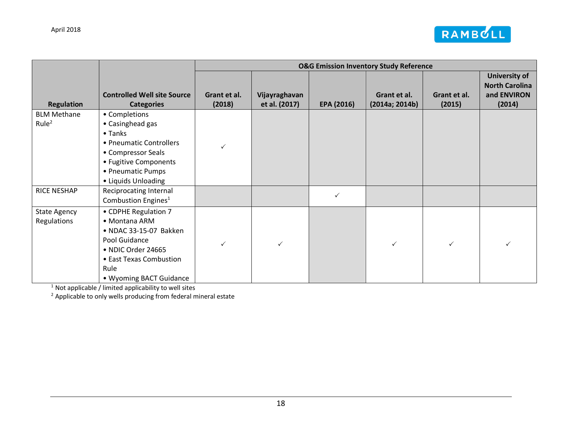

|                                         |                                                                                                                                                                      | <b>O&amp;G Emission Inventory Study Reference</b> |                                |              |                                |                        |                                                                 |
|-----------------------------------------|----------------------------------------------------------------------------------------------------------------------------------------------------------------------|---------------------------------------------------|--------------------------------|--------------|--------------------------------|------------------------|-----------------------------------------------------------------|
| <b>Regulation</b>                       | <b>Controlled Well site Source</b><br><b>Categories</b>                                                                                                              | Grant et al.<br>(2018)                            | Vijayraghavan<br>et al. (2017) | EPA (2016)   | Grant et al.<br>(2014a; 2014b) | Grant et al.<br>(2015) | University of<br><b>North Carolina</b><br>and ENVIRON<br>(2014) |
| <b>BLM Methane</b><br>Rule <sup>2</sup> | • Completions<br>• Casinghead gas<br>• Tanks<br>• Pneumatic Controllers<br>• Compressor Seals<br>• Fugitive Components<br>• Pneumatic Pumps<br>• Liquids Unloading   | ✓                                                 |                                |              |                                |                        |                                                                 |
| <b>RICE NESHAP</b>                      | Reciprocating Internal<br>Combustion Engines <sup>1</sup>                                                                                                            |                                                   |                                | $\checkmark$ |                                |                        |                                                                 |
| <b>State Agency</b><br>Regulations      | • CDPHE Regulation 7<br>• Montana ARM<br>• NDAC 33-15-07 Bakken<br>Pool Guidance<br>• NDIC Order 24665<br>• East Texas Combustion<br>Rule<br>• Wyoming BACT Guidance | ✓                                                 | ✓                              |              | $\checkmark$                   | ✓                      | ✓                                                               |

 $1$  Not applicable / limited applicability to well sites

 $2$  Applicable to only wells producing from federal mineral estate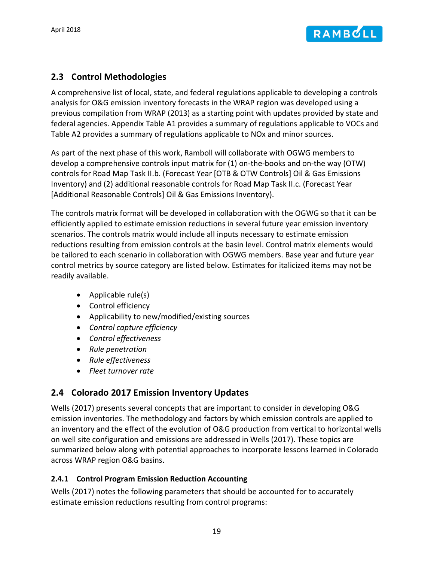

# <span id="page-21-0"></span>**2.3 Control Methodologies**

A comprehensive list of local, state, and federal regulations applicable to developing a controls analysis for O&G emission inventory forecasts in the WRAP region was developed using a previous compilation from WRAP (2013) as a starting point with updates provided by state and federal agencies. Appendix [Table A1](#page-41-1) provides a summary of regulations applicable to VOCs and [Table](#page-41-2) A2 provides a summary of regulations applicable to NOx and minor sources.

As part of the next phase of this work, Ramboll will collaborate with OGWG members to develop a comprehensive controls input matrix for (1) on-the-books and on-the way (OTW) controls for Road Map Task II.b. (Forecast Year [OTB & OTW Controls] Oil & Gas Emissions Inventory) and (2) additional reasonable controls for Road Map Task II.c. (Forecast Year [Additional Reasonable Controls] Oil & Gas Emissions Inventory).

The controls matrix format will be developed in collaboration with the OGWG so that it can be efficiently applied to estimate emission reductions in several future year emission inventory scenarios. The controls matrix would include all inputs necessary to estimate emission reductions resulting from emission controls at the basin level. Control matrix elements would be tailored to each scenario in collaboration with OGWG members. Base year and future year control metrics by source category are listed below. Estimates for italicized items may not be readily available.

- Applicable rule(s)
- Control efficiency
- Applicability to new/modified/existing sources
- *Control capture efficiency*
- *Control effectiveness*
- *Rule penetration*
- *Rule effectiveness*
- *Fleet turnover rate*

# <span id="page-21-1"></span>**2.4 Colorado 2017 Emission Inventory Updates**

Wells (2017) presents several concepts that are important to consider in developing O&G emission inventories. The methodology and factors by which emission controls are applied to an inventory and the effect of the evolution of O&G production from vertical to horizontal wells on well site configuration and emissions are addressed in Wells (2017). These topics are summarized below along with potential approaches to incorporate lessons learned in Colorado across WRAP region O&G basins.

#### <span id="page-21-2"></span>**2.4.1 Control Program Emission Reduction Accounting**

Wells (2017) notes the following parameters that should be accounted for to accurately estimate emission reductions resulting from control programs: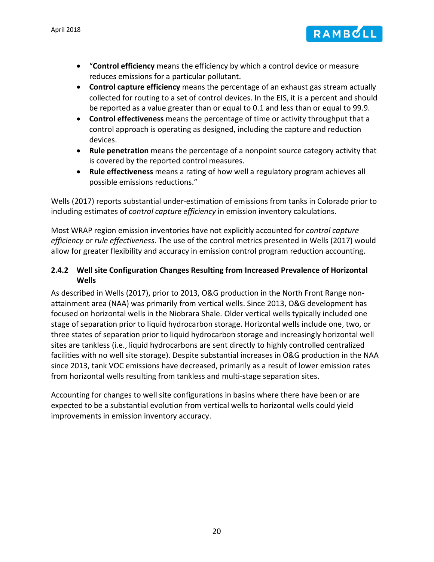

- "**Control efficiency** means the efficiency by which a control device or measure reduces emissions for a particular pollutant.
- **Control capture efficiency** means the percentage of an exhaust gas stream actually collected for routing to a set of control devices. In the EIS, it is a percent and should be reported as a value greater than or equal to 0.1 and less than or equal to 99.9.
- **Control effectiveness** means the percentage of time or activity throughput that a control approach is operating as designed, including the capture and reduction devices.
- **Rule penetration** means the percentage of a nonpoint source category activity that is covered by the reported control measures.
- **Rule effectiveness** means a rating of how well a regulatory program achieves all possible emissions reductions."

Wells (2017) reports substantial under-estimation of emissions from tanks in Colorado prior to including estimates of *control capture efficiency* in emission inventory calculations.

Most WRAP region emission inventories have not explicitly accounted for *control capture efficiency* or *rule effectiveness*. The use of the control metrics presented in Wells (2017) would allow for greater flexibility and accuracy in emission control program reduction accounting.

### <span id="page-22-0"></span>**2.4.2 Well site Configuration Changes Resulting from Increased Prevalence of Horizontal Wells**

As described in Wells (2017), prior to 2013, O&G production in the North Front Range nonattainment area (NAA) was primarily from vertical wells. Since 2013, O&G development has focused on horizontal wells in the Niobrara Shale. Older vertical wells typically included one stage of separation prior to liquid hydrocarbon storage. Horizontal wells include one, two, or three states of separation prior to liquid hydrocarbon storage and increasingly horizontal well sites are tankless (i.e., liquid hydrocarbons are sent directly to highly controlled centralized facilities with no well site storage). Despite substantial increases in O&G production in the NAA since 2013, tank VOC emissions have decreased, primarily as a result of lower emission rates from horizontal wells resulting from tankless and multi-stage separation sites.

Accounting for changes to well site configurations in basins where there have been or are expected to be a substantial evolution from vertical wells to horizontal wells could yield improvements in emission inventory accuracy.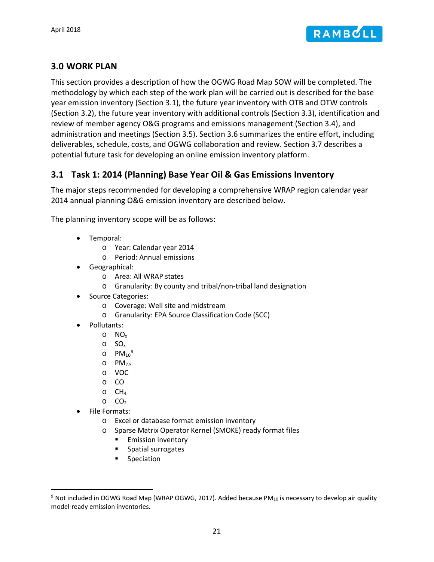

### <span id="page-23-0"></span>**3.0 WORK PLAN**

This section provides a description of how the OGWG Road Map SOW will be completed. The methodology by which each step of the work plan will be carried out is described for the base year emission inventory (Section [3.1\)](#page-23-1), the future year inventory with OTB and OTW controls (Section [3.2\)](#page-27-0), the future year inventory with additional controls (Section [3.3\)](#page-30-3), identification and review of member agency O&G programs and emissions management (Section [3.4\)](#page-32-3), and administration and meetings (Section [3.5\)](#page-33-1). Section [3.6](#page-33-2) summarizes the entire effort, including deliverables, schedule, costs, and OGWG collaboration and review. Section [3.7](#page-36-0) describes a potential future task for developing an online emission inventory platform.

### <span id="page-23-1"></span>**3.1 Task 1: 2014 (Planning) Base Year Oil & Gas Emissions Inventory**

The major steps recommended for developing a comprehensive WRAP region calendar year 2014 annual planning O&G emission inventory are described below.

The planning inventory scope will be as follows:

- Temporal:
	- o Year: Calendar year 2014
	- o Period: Annual emissions
- Geographical:
	- o Area: All WRAP states
	- o Granularity: By county and tribal/non-tribal land designation
- Source Categories:
	- o Coverage: Well site and midstream
	- o Granularity: EPA Source Classification Code (SCC)
- Pollutants:
	- o NOx
	- $\circ$  SO<sub>x</sub>
	- o  $PM_{10}^9$  $PM_{10}^9$
	- $O$  PM<sub>2.5</sub>
	- o VOC
	- o CO
	- $O$   $CH<sub>4</sub>$
	- $O_2$
- File Formats:
	- o Excel or database format emission inventory
	- o Sparse Matrix Operator Kernel (SMOKE) ready format files
		- **Emission inventory**
		- **Spatial surrogates**
		- **Speciation**

<span id="page-23-2"></span><sup>&</sup>lt;sup>9</sup> Not included in OGWG Road Map (WRAP OGWG, 2017). Added because PM<sub>10</sub> is necessary to develop air quality model-ready emission inventories.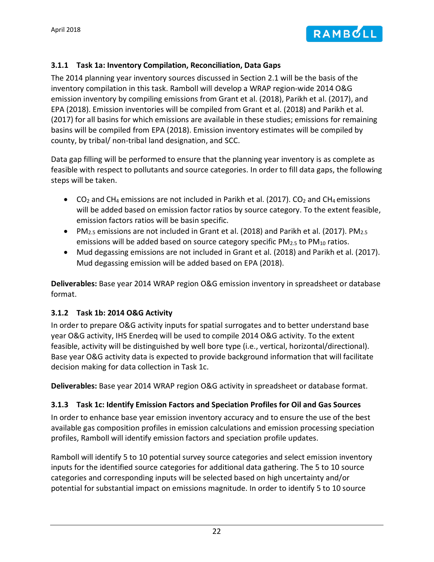

#### <span id="page-24-0"></span>**3.1.1 Task 1a: Inventory Compilation, Reconciliation, Data Gaps**

The 2014 planning year inventory sources discussed in Section [2.1](#page-8-1) will be the basis of the inventory compilation in this task. Ramboll will develop a WRAP region-wide 2014 O&G emission inventory by compiling emissions from Grant et al. (2018), Parikh et al. (2017), and EPA (2018). Emission inventories will be compiled from Grant et al. (2018) and Parikh et al. (2017) for all basins for which emissions are available in these studies; emissions for remaining basins will be compiled from EPA (2018). Emission inventory estimates will be compiled by county, by tribal/ non-tribal land designation, and SCC.

Data gap filling will be performed to ensure that the planning year inventory is as complete as feasible with respect to pollutants and source categories. In order to fill data gaps, the following steps will be taken.

- CO<sub>2</sub> and CH<sub>4</sub> emissions are not included in Parikh et al. (2017). CO<sub>2</sub> and CH<sub>4</sub> emissions will be added based on emission factor ratios by source category. To the extent feasible, emission factors ratios will be basin specific.
- PM<sub>2.5</sub> emissions are not included in Grant et al. (2018) and Parikh et al. (2017). PM<sub>2.5</sub> emissions will be added based on source category specific  $PM_{2.5}$  to  $PM_{10}$  ratios.
- Mud degassing emissions are not included in Grant et al. (2018) and Parikh et al. (2017). Mud degassing emission will be added based on EPA (2018).

**Deliverables:** Base year 2014 WRAP region O&G emission inventory in spreadsheet or database format.

#### <span id="page-24-1"></span>**3.1.2 Task 1b: 2014 O&G Activity**

In order to prepare O&G activity inputs for spatial surrogates and to better understand base year O&G activity, IHS Enerdeq will be used to compile 2014 O&G activity. To the extent feasible, activity will be distinguished by well bore type (i.e., vertical, horizontal/directional). Base year O&G activity data is expected to provide background information that will facilitate decision making for data collection in Task 1c.

**Deliverables:** Base year 2014 WRAP region O&G activity in spreadsheet or database format.

### <span id="page-24-2"></span>**3.1.3 Task 1c: Identify Emission Factors and Speciation Profiles for Oil and Gas Sources**

In order to enhance base year emission inventory accuracy and to ensure the use of the best available gas composition profiles in emission calculations and emission processing speciation profiles, Ramboll will identify emission factors and speciation profile updates.

Ramboll will identify 5 to 10 potential survey source categories and select emission inventory inputs for the identified source categories for additional data gathering. The 5 to 10 source categories and corresponding inputs will be selected based on high uncertainty and/or potential for substantial impact on emissions magnitude. In order to identify 5 to 10 source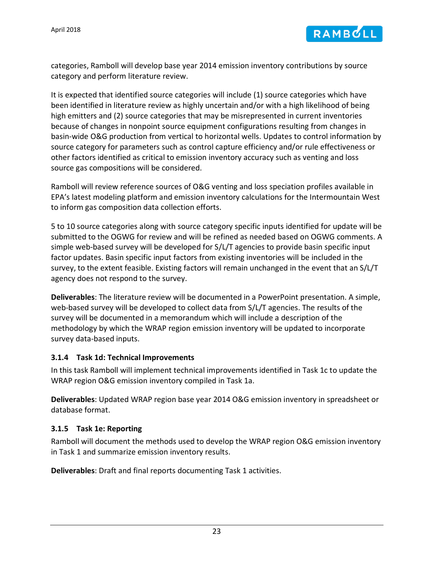

categories, Ramboll will develop base year 2014 emission inventory contributions by source category and perform literature review.

It is expected that identified source categories will include (1) source categories which have been identified in literature review as highly uncertain and/or with a high likelihood of being high emitters and (2) source categories that may be misrepresented in current inventories because of changes in nonpoint source equipment configurations resulting from changes in basin-wide O&G production from vertical to horizontal wells. Updates to control information by source category for parameters such as control capture efficiency and/or rule effectiveness or other factors identified as critical to emission inventory accuracy such as venting and loss source gas compositions will be considered.

Ramboll will review reference sources of O&G venting and loss speciation profiles available in EPA's latest modeling platform and emission inventory calculations for the Intermountain West to inform gas composition data collection efforts.

5 to 10 source categories along with source category specific inputs identified for update will be submitted to the OGWG for review and will be refined as needed based on OGWG comments. A simple web-based survey will be developed for S/L/T agencies to provide basin specific input factor updates. Basin specific input factors from existing inventories will be included in the survey, to the extent feasible. Existing factors will remain unchanged in the event that an S/L/T agency does not respond to the survey.

**Deliverables**: The literature review will be documented in a PowerPoint presentation. A simple, web-based survey will be developed to collect data from S/L/T agencies. The results of the survey will be documented in a memorandum which will include a description of the methodology by which the WRAP region emission inventory will be updated to incorporate survey data-based inputs.

#### <span id="page-25-0"></span>**3.1.4 Task 1d: Technical Improvements**

In this task Ramboll will implement technical improvements identified in Task 1c to update the WRAP region O&G emission inventory compiled in Task 1a.

**Deliverables**: Updated WRAP region base year 2014 O&G emission inventory in spreadsheet or database format.

#### <span id="page-25-1"></span>**3.1.5 Task 1e: Reporting**

Ramboll will document the methods used to develop the WRAP region O&G emission inventory in Task 1 and summarize emission inventory results.

**Deliverables**: Draft and final reports documenting Task 1 activities.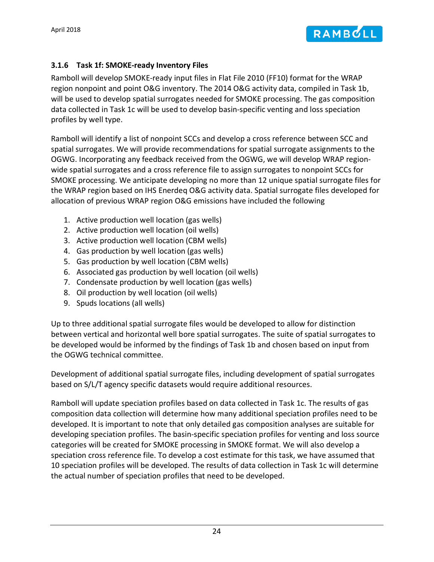

#### <span id="page-26-0"></span>**3.1.6 Task 1f: SMOKE-ready Inventory Files**

Ramboll will develop SMOKE-ready input files in Flat File 2010 (FF10) format for the WRAP region nonpoint and point O&G inventory. The 2014 O&G activity data, compiled in Task 1b, will be used to develop spatial surrogates needed for SMOKE processing. The gas composition data collected in Task 1c will be used to develop basin-specific venting and loss speciation profiles by well type.

Ramboll will identify a list of nonpoint SCCs and develop a cross reference between SCC and spatial surrogates. We will provide recommendations for spatial surrogate assignments to the OGWG. Incorporating any feedback received from the OGWG, we will develop WRAP regionwide spatial surrogates and a cross reference file to assign surrogates to nonpoint SCCs for SMOKE processing. We anticipate developing no more than 12 unique spatial surrogate files for the WRAP region based on IHS Enerdeq O&G activity data. Spatial surrogate files developed for allocation of previous WRAP region O&G emissions have included the following

- 1. Active production well location (gas wells)
- 2. Active production well location (oil wells)
- 3. Active production well location (CBM wells)
- 4. Gas production by well location (gas wells)
- 5. Gas production by well location (CBM wells)
- 6. Associated gas production by well location (oil wells)
- 7. Condensate production by well location (gas wells)
- 8. Oil production by well location (oil wells)
- 9. Spuds locations (all wells)

Up to three additional spatial surrogate files would be developed to allow for distinction between vertical and horizontal well bore spatial surrogates. The suite of spatial surrogates to be developed would be informed by the findings of Task 1b and chosen based on input from the OGWG technical committee.

Development of additional spatial surrogate files, including development of spatial surrogates based on S/L/T agency specific datasets would require additional resources.

Ramboll will update speciation profiles based on data collected in Task 1c. The results of gas composition data collection will determine how many additional speciation profiles need to be developed. It is important to note that only detailed gas composition analyses are suitable for developing speciation profiles. The basin-specific speciation profiles for venting and loss source categories will be created for SMOKE processing in SMOKE format. We will also develop a speciation cross reference file. To develop a cost estimate for this task, we have assumed that 10 speciation profiles will be developed. The results of data collection in Task 1c will determine the actual number of speciation profiles that need to be developed.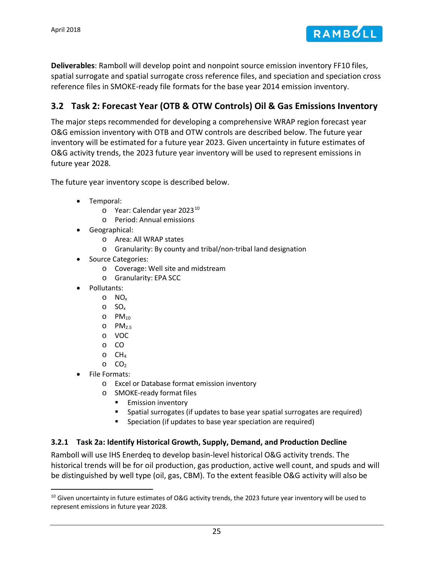

**Deliverables**: Ramboll will develop point and nonpoint source emission inventory FF10 files, spatial surrogate and spatial surrogate cross reference files, and speciation and speciation cross reference files in SMOKE-ready file formats for the base year 2014 emission inventory.

# <span id="page-27-0"></span>**3.2 Task 2: Forecast Year (OTB & OTW Controls) Oil & Gas Emissions Inventory**

The major steps recommended for developing a comprehensive WRAP region forecast year O&G emission inventory with OTB and OTW controls are described below. The future year inventory will be estimated for a future year 2023. Given uncertainty in future estimates of O&G activity trends, the 2023 future year inventory will be used to represent emissions in future year 2028.

The future year inventory scope is described below.

- <span id="page-27-3"></span>• Temporal:
	- o Year: Calendar year 2023<sup>[10](#page-27-2)</sup>
	- o Period: Annual emissions
- Geographical:
	- o Area: All WRAP states
	- o Granularity: By county and tribal/non-tribal land designation
- Source Categories:
	- o Coverage: Well site and midstream
	- o Granularity: EPA SCC
- Pollutants:
	- o NOx
	- o SOx
	- $O$  PM<sub>10</sub>
	- $O$  PM<sub>2.5</sub>
	- o VOC
	- o CO
	- $\circ$  CH<sub>4</sub>
	- $O_2$
- File Formats:
	- o Excel or Database format emission inventory
	- o SMOKE-ready format files
		- **Emission inventory**
		- Spatial surrogates (if updates to base year spatial surrogates are required)
		- **Speciation (if updates to base year speciation are required)**

### <span id="page-27-1"></span>**3.2.1 Task 2a: Identify Historical Growth, Supply, Demand, and Production Decline**

Ramboll will use IHS Enerdeq to develop basin-level historical O&G activity trends. The historical trends will be for oil production, gas production, active well count, and spuds and will be distinguished by well type (oil, gas, CBM). To the extent feasible O&G activity will also be

<span id="page-27-2"></span> $10$  Given uncertainty in future estimates of O&G activity trends, the 2023 future year inventory will be used to represent emissions in future year 2028.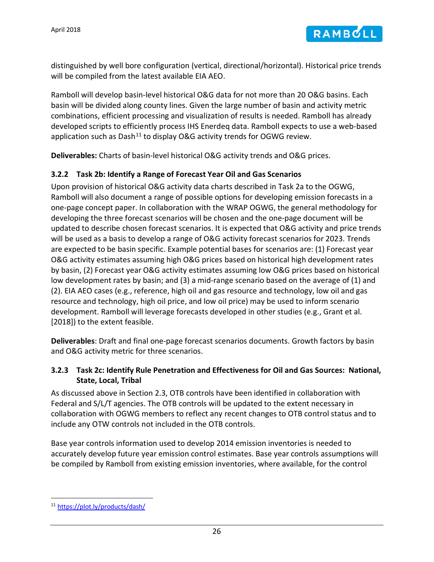

distinguished by well bore configuration (vertical, directional/horizontal). Historical price trends will be compiled from the latest available EIA AEO.

Ramboll will develop basin-level historical O&G data for not more than 20 O&G basins. Each basin will be divided along county lines. Given the large number of basin and activity metric combinations, efficient processing and visualization of results is needed. Ramboll has already developed scripts to efficiently process IHS Enerdeq data. Ramboll expects to use a web-based application such as Dash<sup>[11](#page-28-2)</sup> to display O&G activity trends for OGWG review.

**Deliverables:** Charts of basin-level historical O&G activity trends and O&G prices.

#### <span id="page-28-0"></span>**3.2.2 Task 2b: Identify a Range of Forecast Year Oil and Gas Scenarios**

Upon provision of historical O&G activity data charts described in Task 2a to the OGWG, Ramboll will also document a range of possible options for developing emission forecasts in a one-page concept paper. In collaboration with the WRAP OGWG, the general methodology for developing the three forecast scenarios will be chosen and the one-page document will be updated to describe chosen forecast scenarios. It is expected that O&G activity and price trends will be used as a basis to develop a range of O&G activity forecast scenarios for 2023. Trends are expected to be basin specific. Example potential bases for scenarios are: (1) Forecast year O&G activity estimates assuming high O&G prices based on historical high development rates by basin, (2) Forecast year O&G activity estimates assuming low O&G prices based on historical low development rates by basin; and (3) a mid-range scenario based on the average of (1) and (2). EIA AEO cases (e.g., reference, high oil and gas resource and technology, low oil and gas resource and technology, high oil price, and low oil price) may be used to inform scenario development. Ramboll will leverage forecasts developed in other studies (e.g., Grant et al. [2018]) to the extent feasible.

**Deliverables**: Draft and final one-page forecast scenarios documents. Growth factors by basin and O&G activity metric for three scenarios.

#### <span id="page-28-1"></span>**3.2.3 Task 2c: Identify Rule Penetration and Effectiveness for Oil and Gas Sources: National, State, Local, Tribal**

As discussed above in Section [2.3,](#page-21-0) OTB controls have been identified in collaboration with Federal and S/L/T agencies. The OTB controls will be updated to the extent necessary in collaboration with OGWG members to reflect any recent changes to OTB control status and to include any OTW controls not included in the OTB controls.

Base year controls information used to develop 2014 emission inventories is needed to accurately develop future year emission control estimates. Base year controls assumptions will be compiled by Ramboll from existing emission inventories, where available, for the control

<span id="page-28-2"></span> <sup>11</sup> <https://plot.ly/products/dash/>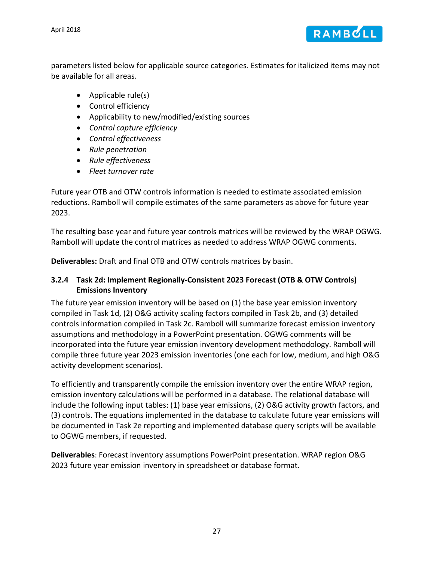April 2018



parameters listed below for applicable source categories. Estimates for italicized items may not be available for all areas.

- Applicable rule(s)
- Control efficiency
- Applicability to new/modified/existing sources
- *Control capture efficiency*
- *Control effectiveness*
- *Rule penetration*
- *Rule effectiveness*
- *Fleet turnover rate*

Future year OTB and OTW controls information is needed to estimate associated emission reductions. Ramboll will compile estimates of the same parameters as above for future year 2023.

The resulting base year and future year controls matrices will be reviewed by the WRAP OGWG. Ramboll will update the control matrices as needed to address WRAP OGWG comments.

**Deliverables:** Draft and final OTB and OTW controls matrices by basin.

### <span id="page-29-0"></span>**3.2.4 Task 2d: Implement Regionally-Consistent 2023 Forecast (OTB & OTW Controls) Emissions Inventory**

The future year emission inventory will be based on (1) the base year emission inventory compiled in Task 1d, (2) O&G activity scaling factors compiled in Task 2b, and (3) detailed controls information compiled in Task 2c. Ramboll will summarize forecast emission inventory assumptions and methodology in a PowerPoint presentation. OGWG comments will be incorporated into the future year emission inventory development methodology. Ramboll will compile three future year 2023 emission inventories (one each for low, medium, and high O&G activity development scenarios).

To efficiently and transparently compile the emission inventory over the entire WRAP region, emission inventory calculations will be performed in a database. The relational database will include the following input tables: (1) base year emissions, (2) O&G activity growth factors, and (3) controls. The equations implemented in the database to calculate future year emissions will be documented in Task 2e reporting and implemented database query scripts will be available to OGWG members, if requested.

**Deliverables**: Forecast inventory assumptions PowerPoint presentation. WRAP region O&G 2023 future year emission inventory in spreadsheet or database format.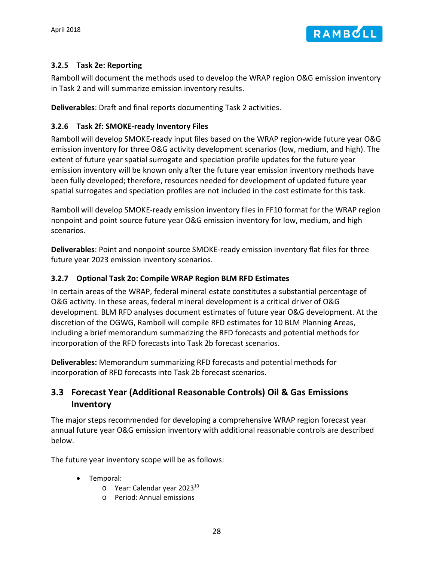

#### <span id="page-30-0"></span>**3.2.5 Task 2e: Reporting**

Ramboll will document the methods used to develop the WRAP region O&G emission inventory in Task 2 and will summarize emission inventory results.

**Deliverables**: Draft and final reports documenting Task 2 activities.

#### <span id="page-30-1"></span>**3.2.6 Task 2f: SMOKE-ready Inventory Files**

Ramboll will develop SMOKE-ready input files based on the WRAP region-wide future year O&G emission inventory for three O&G activity development scenarios (low, medium, and high). The extent of future year spatial surrogate and speciation profile updates for the future year emission inventory will be known only after the future year emission inventory methods have been fully developed; therefore, resources needed for development of updated future year spatial surrogates and speciation profiles are not included in the cost estimate for this task.

Ramboll will develop SMOKE-ready emission inventory files in FF10 format for the WRAP region nonpoint and point source future year O&G emission inventory for low, medium, and high scenarios.

**Deliverables**: Point and nonpoint source SMOKE-ready emission inventory flat files for three future year 2023 emission inventory scenarios.

#### <span id="page-30-2"></span>**3.2.7 Optional Task 2o: Compile WRAP Region BLM RFD Estimates**

In certain areas of the WRAP, federal mineral estate constitutes a substantial percentage of O&G activity. In these areas, federal mineral development is a critical driver of O&G development. BLM RFD analyses document estimates of future year O&G development. At the discretion of the OGWG, Ramboll will compile RFD estimates for 10 BLM Planning Areas, including a brief memorandum summarizing the RFD forecasts and potential methods for incorporation of the RFD forecasts into Task 2b forecast scenarios.

**Deliverables:** Memorandum summarizing RFD forecasts and potential methods for incorporation of RFD forecasts into Task 2b forecast scenarios.

# <span id="page-30-3"></span>**3.3 Forecast Year (Additional Reasonable Controls) Oil & Gas Emissions Inventory**

The major steps recommended for developing a comprehensive WRAP region forecast year annual future year O&G emission inventory with additional reasonable controls are described below.

The future year inventory scope will be as follows:

- Temporal:
	- $\circ$  Year: Calendar year 2023 $^{10}$
	- o Period: Annual emissions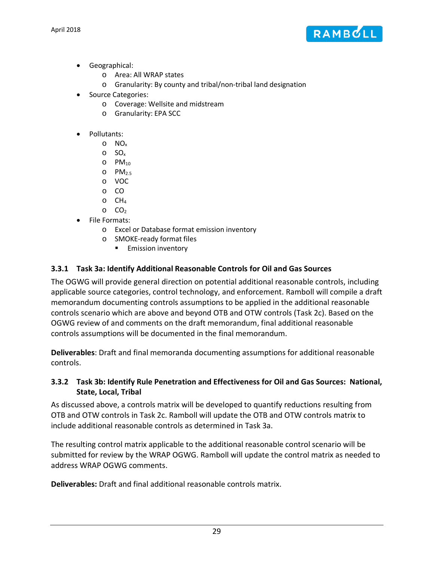

- Geographical:
	- o Area: All WRAP states
	- o Granularity: By county and tribal/non-tribal land designation
- Source Categories:
	- o Coverage: Wellsite and midstream
	- o Granularity: EPA SCC
- Pollutants:
	- o NOx
	- o SOx
	- $O$  PM<sub>10</sub>
	- $O$  PM<sub>2.5</sub>
	- o VOC
	- o CO
	- $O$  CH<sub>4</sub>  $O_2$  CO<sub>2</sub>
- File Formats:
	- o Excel or Database format emission inventory
	- o SMOKE-ready format files
		- **Emission inventory**

### <span id="page-31-0"></span>**3.3.1 Task 3a: Identify Additional Reasonable Controls for Oil and Gas Sources**

The OGWG will provide general direction on potential additional reasonable controls, including applicable source categories, control technology, and enforcement. Ramboll will compile a draft memorandum documenting controls assumptions to be applied in the additional reasonable controls scenario which are above and beyond OTB and OTW controls (Task 2c). Based on the OGWG review of and comments on the draft memorandum, final additional reasonable controls assumptions will be documented in the final memorandum.

**Deliverables**: Draft and final memoranda documenting assumptions for additional reasonable controls.

#### <span id="page-31-1"></span>**3.3.2 Task 3b: Identify Rule Penetration and Effectiveness for Oil and Gas Sources: National, State, Local, Tribal**

As discussed above, a controls matrix will be developed to quantify reductions resulting from OTB and OTW controls in Task 2c. Ramboll will update the OTB and OTW controls matrix to include additional reasonable controls as determined in Task 3a.

The resulting control matrix applicable to the additional reasonable control scenario will be submitted for review by the WRAP OGWG. Ramboll will update the control matrix as needed to address WRAP OGWG comments.

**Deliverables:** Draft and final additional reasonable controls matrix.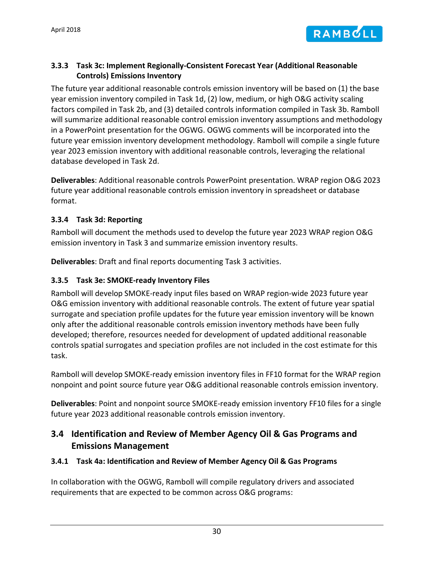

### <span id="page-32-0"></span>**3.3.3 Task 3c: Implement Regionally-Consistent Forecast Year (Additional Reasonable Controls) Emissions Inventory**

The future year additional reasonable controls emission inventory will be based on (1) the base year emission inventory compiled in Task 1d, (2) low, medium, or high O&G activity scaling factors compiled in Task 2b, and (3) detailed controls information compiled in Task 3b. Ramboll will summarize additional reasonable control emission inventory assumptions and methodology in a PowerPoint presentation for the OGWG. OGWG comments will be incorporated into the future year emission inventory development methodology. Ramboll will compile a single future year 2023 emission inventory with additional reasonable controls, leveraging the relational database developed in Task 2d.

**Deliverables**: Additional reasonable controls PowerPoint presentation. WRAP region O&G 2023 future year additional reasonable controls emission inventory in spreadsheet or database format.

#### <span id="page-32-1"></span>**3.3.4 Task 3d: Reporting**

Ramboll will document the methods used to develop the future year 2023 WRAP region O&G emission inventory in Task 3 and summarize emission inventory results.

**Deliverables**: Draft and final reports documenting Task 3 activities.

### <span id="page-32-2"></span>**3.3.5 Task 3e: SMOKE-ready Inventory Files**

Ramboll will develop SMOKE-ready input files based on WRAP region-wide 2023 future year O&G emission inventory with additional reasonable controls. The extent of future year spatial surrogate and speciation profile updates for the future year emission inventory will be known only after the additional reasonable controls emission inventory methods have been fully developed; therefore, resources needed for development of updated additional reasonable controls spatial surrogates and speciation profiles are not included in the cost estimate for this task.

Ramboll will develop SMOKE-ready emission inventory files in FF10 format for the WRAP region nonpoint and point source future year O&G additional reasonable controls emission inventory.

**Deliverables**: Point and nonpoint source SMOKE-ready emission inventory FF10 files for a single future year 2023 additional reasonable controls emission inventory.

# <span id="page-32-3"></span>**3.4 Identification and Review of Member Agency Oil & Gas Programs and Emissions Management**

#### <span id="page-32-4"></span>**3.4.1 Task 4a: Identification and Review of Member Agency Oil & Gas Programs**

In collaboration with the OGWG, Ramboll will compile regulatory drivers and associated requirements that are expected to be common across O&G programs: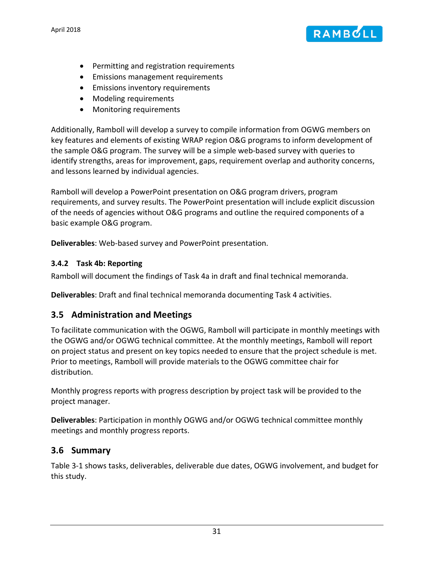

- Permitting and registration requirements
- Emissions management requirements
- Emissions inventory requirements
- Modeling requirements
- Monitoring requirements

Additionally, Ramboll will develop a survey to compile information from OGWG members on key features and elements of existing WRAP region O&G programs to inform development of the sample O&G program. The survey will be a simple web-based survey with queries to identify strengths, areas for improvement, gaps, requirement overlap and authority concerns, and lessons learned by individual agencies.

Ramboll will develop a PowerPoint presentation on O&G program drivers, program requirements, and survey results. The PowerPoint presentation will include explicit discussion of the needs of agencies without O&G programs and outline the required components of a basic example O&G program.

**Deliverables**: Web-based survey and PowerPoint presentation.

#### <span id="page-33-0"></span>**3.4.2 Task 4b: Reporting**

Ramboll will document the findings of Task 4a in draft and final technical memoranda.

**Deliverables**: Draft and final technical memoranda documenting Task 4 activities.

### <span id="page-33-1"></span>**3.5 Administration and Meetings**

To facilitate communication with the OGWG, Ramboll will participate in monthly meetings with the OGWG and/or OGWG technical committee. At the monthly meetings, Ramboll will report on project status and present on key topics needed to ensure that the project schedule is met. Prior to meetings, Ramboll will provide materials to the OGWG committee chair for distribution.

Monthly progress reports with progress description by project task will be provided to the project manager.

**Deliverables**: Participation in monthly OGWG and/or OGWG technical committee monthly meetings and monthly progress reports.

### <span id="page-33-2"></span>**3.6 Summary**

[Table 3-1](#page-34-0) shows tasks, deliverables, deliverable due dates, OGWG involvement, and budget for this study.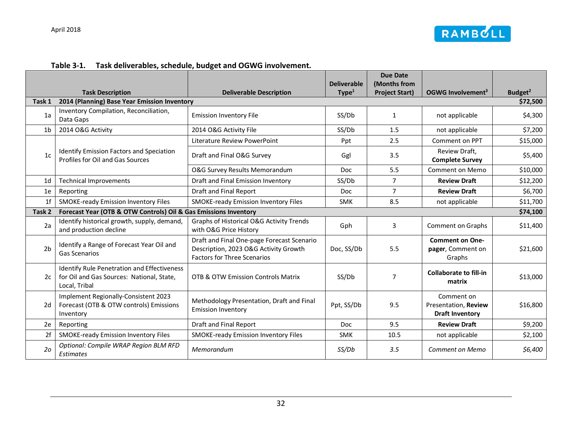

<span id="page-34-0"></span>

|                |                                                                                                                  |                                                                                                                           |                    | <b>Due Date</b>                       |                                                              |                                 |
|----------------|------------------------------------------------------------------------------------------------------------------|---------------------------------------------------------------------------------------------------------------------------|--------------------|---------------------------------------|--------------------------------------------------------------|---------------------------------|
|                |                                                                                                                  | <b>Deliverable Description</b>                                                                                            | <b>Deliverable</b> | (Months from<br><b>Project Start)</b> | OGWG Involvement <sup>3</sup>                                |                                 |
| Task 1         | <b>Task Description</b><br>2014 (Planning) Base Year Emission Inventory                                          |                                                                                                                           | Type <sup>1</sup>  |                                       |                                                              | Budget <sup>2</sup><br>\$72,500 |
|                |                                                                                                                  |                                                                                                                           |                    |                                       |                                                              |                                 |
| 1a             | Inventory Compilation, Reconciliation,<br>Data Gaps                                                              | <b>Emission Inventory File</b>                                                                                            | SS/Db              | 1                                     | not applicable                                               | \$4,300                         |
| 1 <sub>b</sub> | 2014 O&G Activity                                                                                                | 2014 O&G Activity File                                                                                                    | SS/Db              | 1.5                                   | not applicable                                               | \$7,200                         |
|                |                                                                                                                  | Literature Review PowerPoint                                                                                              | Ppt                | 2.5                                   | Comment on PPT                                               | \$15,000                        |
| 1c             | <b>Identify Emission Factors and Speciation</b><br>Profiles for Oil and Gas Sources                              | Draft and Final O&G Survey                                                                                                | Ggl                | 3.5                                   | Review Draft,<br><b>Complete Survey</b>                      | \$5,400                         |
|                |                                                                                                                  | O&G Survey Results Memorandum                                                                                             | Doc                | 5.5                                   | Comment on Memo                                              | \$10,000                        |
| 1 <sub>d</sub> | <b>Technical Improvements</b>                                                                                    | Draft and Final Emission Inventory                                                                                        | SS/Db              | $\overline{7}$                        | <b>Review Draft</b>                                          | \$12,200                        |
| 1e             | Reporting                                                                                                        | Draft and Final Report                                                                                                    | Doc                | $\overline{7}$                        | <b>Review Draft</b>                                          | \$6,700                         |
| 1 <sup>f</sup> | <b>SMOKE-ready Emission Inventory Files</b>                                                                      | <b>SMOKE-ready Emission Inventory Files</b>                                                                               | <b>SMK</b>         | 8.5                                   | not applicable                                               | \$11,700                        |
| Task 2         | Forecast Year (OTB & OTW Controls) Oil & Gas Emissions Inventory                                                 |                                                                                                                           |                    |                                       |                                                              | \$74,100                        |
| 2a             | Identify historical growth, supply, demand,<br>and production decline                                            | Graphs of Historical O&G Activity Trends<br>with O&G Price History                                                        | Gph                | 3                                     | Comment on Graphs                                            | \$11,400                        |
| 2 <sub>b</sub> | Identify a Range of Forecast Year Oil and<br><b>Gas Scenarios</b>                                                | Draft and Final One-page Forecast Scenario<br>Description, 2023 O&G Activity Growth<br><b>Factors for Three Scenarios</b> | Doc, SS/Db         | 5.5                                   | <b>Comment on One-</b><br>pager, Comment on<br>Graphs        | \$21,600                        |
| 2c             | <b>Identify Rule Penetration and Effectiveness</b><br>for Oil and Gas Sources: National, State,<br>Local, Tribal | <b>OTB &amp; OTW Emission Controls Matrix</b>                                                                             | SS/Db              | $\overline{7}$                        | <b>Collaborate to fill-in</b><br>matrix                      | \$13,000                        |
| 2d             | Implement Regionally-Consistent 2023<br>Forecast (OTB & OTW controls) Emissions<br>Inventory                     | Methodology Presentation, Draft and Final<br><b>Emission Inventory</b>                                                    | Ppt, SS/Db         | 9.5                                   | Comment on<br>Presentation, Review<br><b>Draft Inventory</b> | \$16,800                        |
| 2e             | Reporting                                                                                                        | Draft and Final Report                                                                                                    | <b>Doc</b>         | 9.5                                   | <b>Review Draft</b>                                          | \$9,200                         |
| 2f             | <b>SMOKE-ready Emission Inventory Files</b>                                                                      | <b>SMOKE-ready Emission Inventory Files</b>                                                                               | <b>SMK</b>         | 10.5                                  | not applicable                                               | \$2,100                         |
| 2 <sub>o</sub> | Optional: Compile WRAP Region BLM RFD<br><b>Estimates</b>                                                        | Memorandum                                                                                                                | SS/Db              | 3.5                                   | Comment on Memo                                              | \$6,400                         |

#### **Table 3-1. Task deliverables, schedule, budget and OGWG involvement.**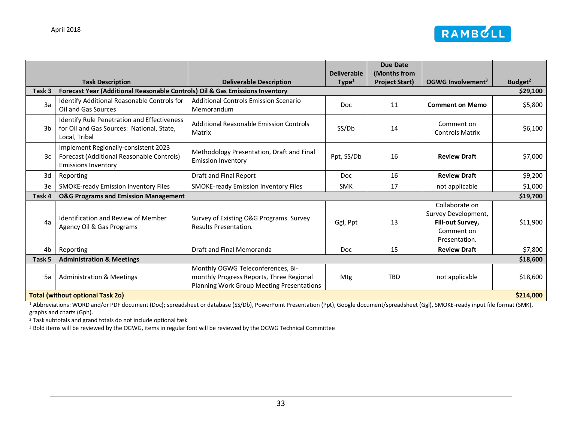

|                                                      |                                                                                                                 |                                                                                                                            | <b>Deliverable</b> | <b>Due Date</b><br>(Months from |                                                                                          |                     |
|------------------------------------------------------|-----------------------------------------------------------------------------------------------------------------|----------------------------------------------------------------------------------------------------------------------------|--------------------|---------------------------------|------------------------------------------------------------------------------------------|---------------------|
|                                                      | <b>Task Description</b>                                                                                         | <b>Deliverable Description</b>                                                                                             | Type <sup>1</sup>  | <b>Project Start)</b>           | OGWG Involvement <sup>3</sup>                                                            | Budget <sup>2</sup> |
| Task 3                                               | Forecast Year (Additional Reasonable Controls) Oil & Gas Emissions Inventory                                    |                                                                                                                            |                    |                                 |                                                                                          | \$29,100            |
| 3a                                                   | Identify Additional Reasonable Controls for<br>Oil and Gas Sources                                              | <b>Additional Controls Emission Scenario</b><br>Memorandum                                                                 | <b>Doc</b>         | 11                              | <b>Comment on Memo</b>                                                                   | \$5,800             |
| 3b                                                   | Identify Rule Penetration and Effectiveness<br>for Oil and Gas Sources: National, State,<br>Local, Tribal       | Additional Reasonable Emission Controls<br>Matrix                                                                          | SS/Db              | 14                              | Comment on<br><b>Controls Matrix</b>                                                     | \$6,100             |
| 3c                                                   | Implement Regionally-consistent 2023<br>Forecast (Additional Reasonable Controls)<br><b>Emissions Inventory</b> | Methodology Presentation, Draft and Final<br><b>Emission Inventory</b>                                                     | Ppt, SS/Db         | 16                              | <b>Review Draft</b>                                                                      | \$7,000             |
| 3d                                                   | Reporting                                                                                                       | Draft and Final Report                                                                                                     | Doc                | 16                              | <b>Review Draft</b>                                                                      | \$9,200             |
| 3e                                                   | SMOKE-ready Emission Inventory Files                                                                            | SMOKE-ready Emission Inventory Files                                                                                       | <b>SMK</b>         | 17                              | not applicable                                                                           | \$1,000             |
| Task 4                                               | <b>O&amp;G Programs and Emission Management</b>                                                                 |                                                                                                                            |                    |                                 |                                                                                          | \$19,700            |
| 4a                                                   | <b>Identification and Review of Member</b><br>Agency Oil & Gas Programs                                         | Survey of Existing O&G Programs. Survey<br>Results Presentation.                                                           | Ggl, Ppt           | 13                              | Collaborate on<br>Survey Development,<br>Fill-out Survey,<br>Comment on<br>Presentation. | \$11,900            |
| 4 <sub>b</sub>                                       | Reporting                                                                                                       | Draft and Final Memoranda                                                                                                  | <b>Doc</b>         | 15                              | <b>Review Draft</b>                                                                      | \$7,800             |
| Task 5                                               | <b>Administration &amp; Meetings</b>                                                                            |                                                                                                                            |                    |                                 |                                                                                          | \$18,600            |
| 5a                                                   | <b>Administration &amp; Meetings</b>                                                                            | Monthly OGWG Teleconferences, Bi-<br>monthly Progress Reports, Three Regional<br>Planning Work Group Meeting Presentations | Mtg                | <b>TBD</b>                      | not applicable                                                                           | \$18,600            |
| \$214,000<br><b>Total (without optional Task 20)</b> |                                                                                                                 |                                                                                                                            |                    |                                 |                                                                                          |                     |

<sup>1</sup> Abbreviations: WORD and/or PDF document (Doc); spreadsheet or database (SS/Db), PowerPoint Presentation (Ppt), Google document/spreadsheet (Ggl), SMOKE-ready input file format (SMK), graphs and charts (Gph).

<sup>2</sup> Task subtotals and grand totals do not include optional task

<sup>3</sup> Bold items will be reviewed by the OGWG, items in regular font will be reviewed by the OGWG Technical Committee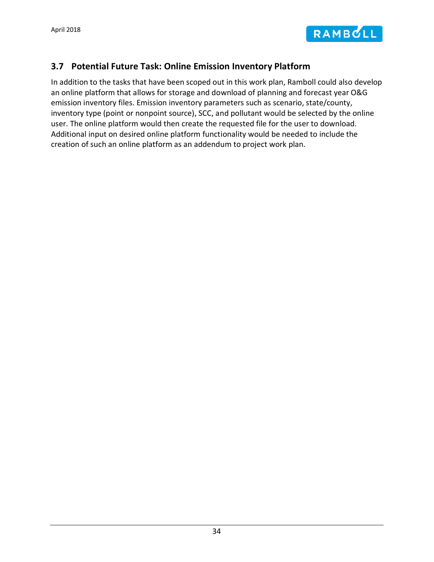

# <span id="page-36-0"></span>**3.7 Potential Future Task: Online Emission Inventory Platform**

In addition to the tasks that have been scoped out in this work plan, Ramboll could also develop an online platform that allows for storage and download of planning and forecast year O&G emission inventory files. Emission inventory parameters such as scenario, state/county, inventory type (point or nonpoint source), SCC, and pollutant would be selected by the online user. The online platform would then create the requested file for the user to download. Additional input on desired online platform functionality would be needed to include the creation of such an online platform as an addendum to project work plan.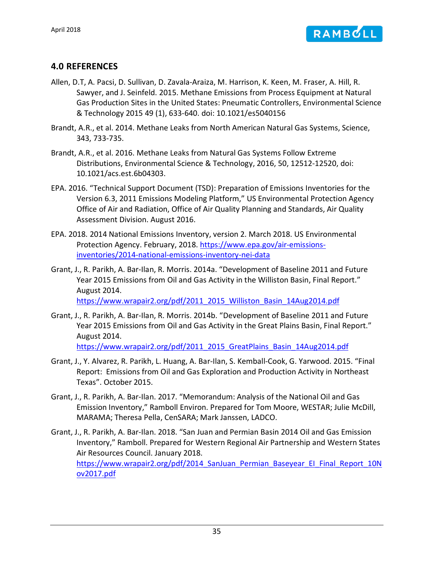

### <span id="page-37-0"></span>**4.0 REFERENCES**

- Allen, D.T, A. Pacsi, D. Sullivan, D. Zavala-Araiza, M. Harrison, K. Keen, M. Fraser, A. Hill, R. Sawyer, and J. Seinfeld. 2015. Methane Emissions from Process Equipment at Natural Gas Production Sites in the United States: Pneumatic Controllers, Environmental Science & Technology 2015 49 (1), 633-640. doi: 10.1021/es5040156
- Brandt, A.R., et al. 2014. Methane Leaks from North American Natural Gas Systems, Science, 343, 733-735.
- Brandt, A.R., et al. 2016. Methane Leaks from Natural Gas Systems Follow Extreme Distributions, Environmental Science & Technology, 2016, 50, 12512-12520, doi: 10.1021/acs.est.6b04303.
- EPA. 2016. "Technical Support Document (TSD): Preparation of Emissions Inventories for the Version 6.3, 2011 Emissions Modeling Platform," US Environmental Protection Agency Office of Air and Radiation, Office of Air Quality Planning and Standards, Air Quality Assessment Division. August 2016.
- EPA. 2018. 2014 National Emissions Inventory, version 2. March 2018. US Environmental Protection Agency. February, 2018. [https://www.epa.gov/air-emissions](https://www.epa.gov/air-emissions-inventories/2014-national-emissions-inventory-nei-data)[inventories/2014-national-emissions-inventory-nei-data](https://www.epa.gov/air-emissions-inventories/2014-national-emissions-inventory-nei-data)
- Grant, J., R. Parikh, A. Bar-Ilan, R. Morris. 2014a. "Development of Baseline 2011 and Future Year 2015 Emissions from Oil and Gas Activity in the Williston Basin, Final Report." August 2014. [https://www.wrapair2.org/pdf/2011\\_2015\\_Williston\\_Basin\\_14Aug2014.pdf](https://www.wrapair2.org/pdf/2011_2015_Williston_Basin_14Aug2014.pdf)
- Grant, J., R. Parikh, A. Bar-Ilan, R. Morris. 2014b. "Development of Baseline 2011 and Future Year 2015 Emissions from Oil and Gas Activity in the Great Plains Basin, Final Report." August 2014. [https://www.wrapair2.org/pdf/2011\\_2015\\_GreatPlains\\_Basin\\_14Aug2014.pdf](https://www.wrapair2.org/pdf/2011_2015_GreatPlains_Basin_14Aug2014.pdf)
- Grant, J., Y. Alvarez, R. Parikh, L. Huang, A. Bar-Ilan, S. Kemball-Cook, G. Yarwood. 2015. "Final Report: Emissions from Oil and Gas Exploration and Production Activity in Northeast Texas". October 2015.
- Grant, J., R. Parikh, A. Bar-Ilan. 2017. "Memorandum: Analysis of the National Oil and Gas Emission Inventory," Ramboll Environ. Prepared for Tom Moore, WESTAR; Julie McDill, MARAMA; Theresa Pella, CenSARA; Mark Janssen, LADCO.
- Grant, J., R. Parikh, A. Bar-Ilan. 2018. "San Juan and Permian Basin 2014 Oil and Gas Emission Inventory," Ramboll. Prepared for Western Regional Air Partnership and Western States Air Resources Council. January 2018. https://www.wrapair2.org/pdf/2014 SanJuan Permian Baseyear EI Final Report 10N [ov2017.pdf](https://www.wrapair2.org/pdf/2014_SanJuan_Permian_Baseyear_EI_Final_Report_10Nov2017.pdf)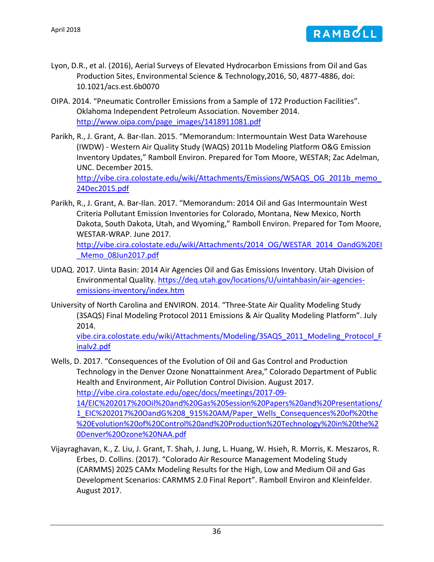

- Lyon, D.R., et al. (2016), Aerial Surveys of Elevated Hydrocarbon Emissions from Oil and Gas Production Sites, Environmental Science & Technology,2016, 50, 4877-4886, doi: 10.1021/acs.est.6b0070
- OIPA. 2014. "Pneumatic Controller Emissions from a Sample of 172 Production Facilities". Oklahoma Independent Petroleum Association. November 2014. [http://www.oipa.com/page\\_images/1418911081.pdf](http://www.oipa.com/page_images/1418911081.pdf)
- Parikh, R., J. Grant, A. Bar-Ilan. 2015. "Memorandum: Intermountain West Data Warehouse (IWDW) - Western Air Quality Study (WAQS) 2011b Modeling Platform O&G Emission Inventory Updates," Ramboll Environ. Prepared for Tom Moore, WESTAR; Zac Adelman, UNC. December 2015. http://vibe.cira.colostate.edu/wiki/Attachments/Emissions/WSAQS\_OG\_2011b\_memo [24Dec2015.pdf](http://vibe.cira.colostate.edu/wiki/Attachments/Emissions/WSAQS_OG_2011b_memo_24Dec2015.pdf)
- Parikh, R., J. Grant, A. Bar-Ilan. 2017. "Memorandum: 2014 Oil and Gas Intermountain West Criteria Pollutant Emission Inventories for Colorado, Montana, New Mexico, North Dakota, South Dakota, Utah, and Wyoming," Ramboll Environ. Prepared for Tom Moore, WESTAR-WRAP. June 2017. [http://vibe.cira.colostate.edu/wiki/Attachments/2014\\_OG/WESTAR\\_2014\\_OandG%20EI](http://vibe.cira.colostate.edu/wiki/Attachments/2014_OG/WESTAR_2014_OandG%20EI_Memo_08Jun2017.pdf) Memo\_08Jun2017.pdf
- UDAQ. 2017. Uinta Basin: 2014 Air Agencies Oil and Gas Emissions Inventory. Utah Division of Environmental Quality. [https://deq.utah.gov/locations/U/uintahbasin/air-agencies](https://deq.utah.gov/locations/U/uintahbasin/air-agencies-emissions-inventory/index.htm)[emissions-inventory/index.htm](https://deq.utah.gov/locations/U/uintahbasin/air-agencies-emissions-inventory/index.htm)
- University of North Carolina and ENVIRON. 2014. "Three-State Air Quality Modeling Study (3SAQS) Final Modeling Protocol 2011 Emissions & Air Quality Modeling Platform". July 2014.

[vibe.cira.colostate.edu/wiki/Attachments/Modeling/3SAQS\\_2011\\_Modeling\\_Protocol\\_F](file://wcnovfps1/Projects/Westar_OGWG/workplan/vibe.cira.colostate.edu/wiki/Attachments/Modeling/3SAQS_2011_Modeling_Protocol_Finalv2.pdf) [inalv2.pdf](file://wcnovfps1/Projects/Westar_OGWG/workplan/vibe.cira.colostate.edu/wiki/Attachments/Modeling/3SAQS_2011_Modeling_Protocol_Finalv2.pdf) 

- Wells, D. 2017. "Consequences of the Evolution of Oil and Gas Control and Production Technology in the Denver Ozone Nonattainment Area," Colorado Department of Public Health and Environment, Air Pollution Control Division. August 2017. [http://vibe.cira.colostate.edu/ogec/docs/meetings/2017-09-](http://vibe.cira.colostate.edu/ogec/docs/meetings/2017-09-14/EIC%202017%20Oil%20and%20Gas%20Session%20Papers%20and%20Presentations/1_EIC%202017%20OandG%208_915%20AM/Paper_Wells_Consequences%20of%20the%20Evolution%20of%20Control%20and%20Production%20Technology%20in%20the%20Denver%20Ozone%20NAA.pdf) [14/EIC%202017%20Oil%20and%20Gas%20Session%20Papers%20and%20Presentations/](http://vibe.cira.colostate.edu/ogec/docs/meetings/2017-09-14/EIC%202017%20Oil%20and%20Gas%20Session%20Papers%20and%20Presentations/1_EIC%202017%20OandG%208_915%20AM/Paper_Wells_Consequences%20of%20the%20Evolution%20of%20Control%20and%20Production%20Technology%20in%20the%20Denver%20Ozone%20NAA.pdf) [1\\_EIC%202017%20OandG%208\\_915%20AM/Paper\\_Wells\\_Consequences%20of%20the](http://vibe.cira.colostate.edu/ogec/docs/meetings/2017-09-14/EIC%202017%20Oil%20and%20Gas%20Session%20Papers%20and%20Presentations/1_EIC%202017%20OandG%208_915%20AM/Paper_Wells_Consequences%20of%20the%20Evolution%20of%20Control%20and%20Production%20Technology%20in%20the%20Denver%20Ozone%20NAA.pdf) [%20Evolution%20of%20Control%20and%20Production%20Technology%20in%20the%2](http://vibe.cira.colostate.edu/ogec/docs/meetings/2017-09-14/EIC%202017%20Oil%20and%20Gas%20Session%20Papers%20and%20Presentations/1_EIC%202017%20OandG%208_915%20AM/Paper_Wells_Consequences%20of%20the%20Evolution%20of%20Control%20and%20Production%20Technology%20in%20the%20Denver%20Ozone%20NAA.pdf) [0Denver%20Ozone%20NAA.pdf](http://vibe.cira.colostate.edu/ogec/docs/meetings/2017-09-14/EIC%202017%20Oil%20and%20Gas%20Session%20Papers%20and%20Presentations/1_EIC%202017%20OandG%208_915%20AM/Paper_Wells_Consequences%20of%20the%20Evolution%20of%20Control%20and%20Production%20Technology%20in%20the%20Denver%20Ozone%20NAA.pdf)
- Vijayraghavan, K., Z. Liu, J. Grant, T. Shah, J. Jung, L. Huang, W. Hsieh, R. Morris, K. Meszaros, R. Erbes, D. Collins. (2017). "Colorado Air Resource Management Modeling Study (CARMMS) 2025 CAMx Modeling Results for the High, Low and Medium Oil and Gas Development Scenarios: CARMMS 2.0 Final Report". Ramboll Environ and Kleinfelder. August 2017.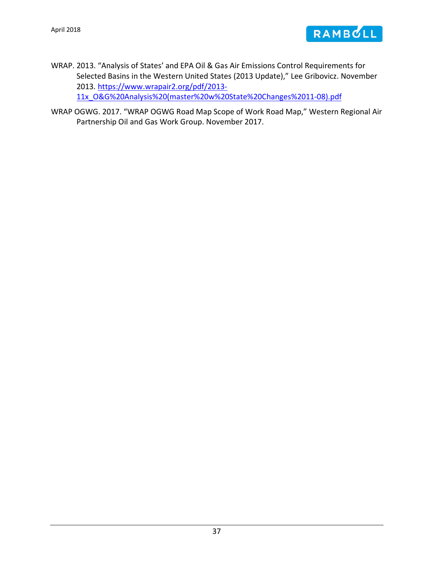

- WRAP. 2013. "Analysis of States' and EPA Oil & Gas Air Emissions Control Requirements for Selected Basins in the Western United States (2013 Update)," Lee Gribovicz. November 2013. [https://www.wrapair2.org/pdf/2013-](https://www.wrapair2.org/pdf/2013-11x_O&G%20Analysis%20(master%20w%20State%20Changes%2011-08).pdf) [11x\\_O&G%20Analysis%20\(master%20w%20State%20Changes%2011-08\).pdf](https://www.wrapair2.org/pdf/2013-11x_O&G%20Analysis%20(master%20w%20State%20Changes%2011-08).pdf)
- WRAP OGWG. 2017. "WRAP OGWG Road Map Scope of Work Road Map," Western Regional Air Partnership Oil and Gas Work Group. November 2017.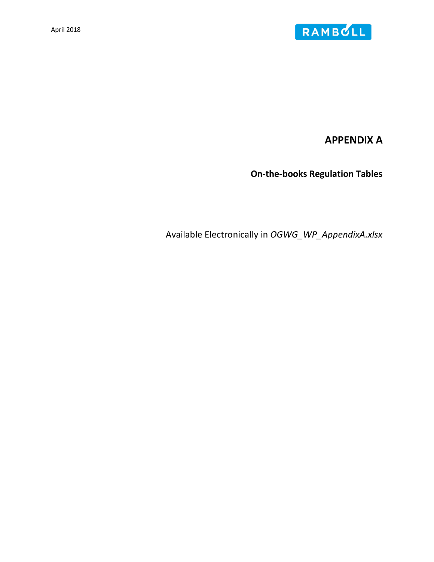

**APPENDIX A**

**On-the-books Regulation Tables**

Available Electronically in *OGWG\_WP\_AppendixA.xlsx*